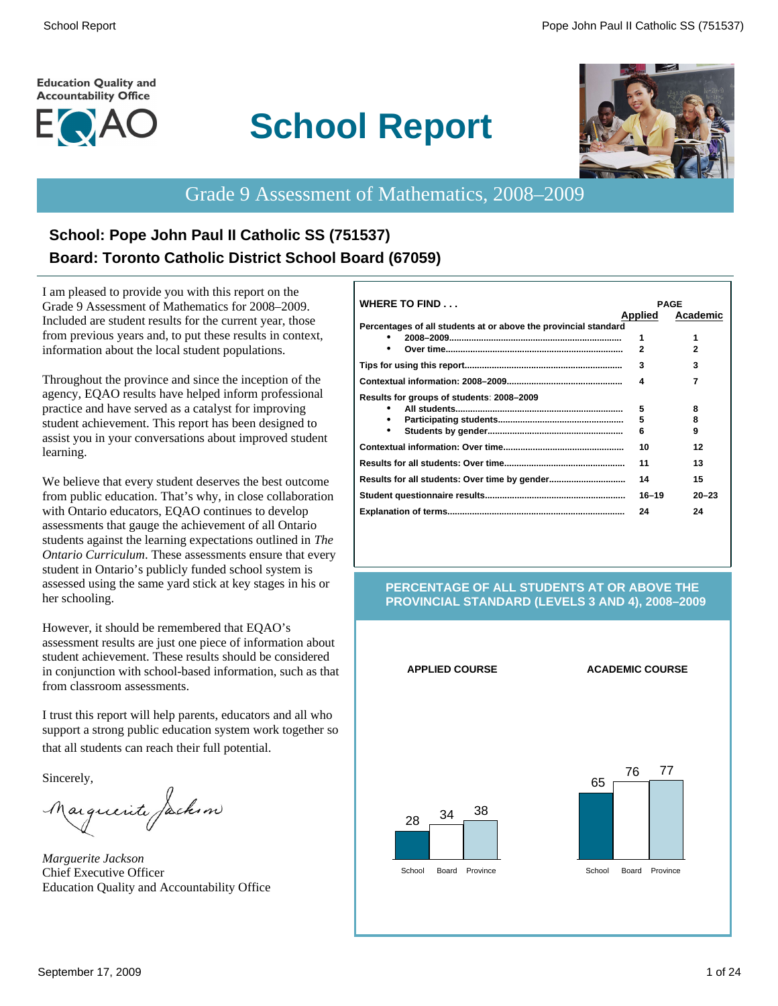#### **Education Quality and Accountability Office**



# **School Report**



# Grade 9 Assessment of Mathematics, 2008–2009

# **School: Pope John Paul II Catholic SS (751537) Board: Toronto Catholic District School Board (67059)**

I am pleased to provide you with this report on the Grade 9 Assessment of Mathematics for 2008–2009. Included are student results for the current year, those from previous years and, to put these results in context, information about the local student populations.

Throughout the province and since the inception of the agency, EQAO results have helped inform professional practice and have served as a catalyst for improving student achievement. This report has been designed to assist you in your conversations about improved student learning.

We believe that every student deserves the best outcome from public education. That's why, in close collaboration with Ontario educators, EQAO continues to develop assessments that gauge the achievement of all Ontario students against the learning expectations outlined in *The Ontario Curriculum*. These assessments ensure that every student in Ontario's publicly funded school system is assessed using the same yard stick at key stages in his or her schooling.

However, it should be remembered that EQAO's assessment results are just one piece of information about student achievement. These results should be considered in conjunction with school-based information, such as that from classroom assessments.

I trust this report will help parents, educators and all who support a strong public education system work together so that all students can reach their full potential.

Sincerely,

Marguerite Jackson

*Marguerite Jackson* Chief Executive Officer Education Quality and Accountability Office

| <b>WHERE TO FIND</b>                                            |                | <b>PAGE</b> |
|-----------------------------------------------------------------|----------------|-------------|
|                                                                 | <b>Applied</b> | Academic    |
| Percentages of all students at or above the provincial standard |                |             |
|                                                                 | 1              | 1           |
|                                                                 | $\mathbf{z}$   | 2           |
|                                                                 | 3              | 3           |
|                                                                 | 4              | 7           |
| Results for groups of students: 2008-2009                       |                |             |
|                                                                 | 5              | 8           |
|                                                                 | 5              | 8           |
|                                                                 | 6              | 9           |
|                                                                 | 10             | 12          |
|                                                                 | 11             | 13          |
|                                                                 | 14             | 15          |
|                                                                 | $16 - 19$      | $20 - 23$   |
|                                                                 | 24             | 24          |
|                                                                 |                |             |

#### **PERCENTAGE OF ALL STUDENTS AT OR ABOVE THE PROVINCIAL STANDARD (LEVELS 3 AND 4), 2008–2009**

**APPLIED COURSE ACADEMIC COURSE**



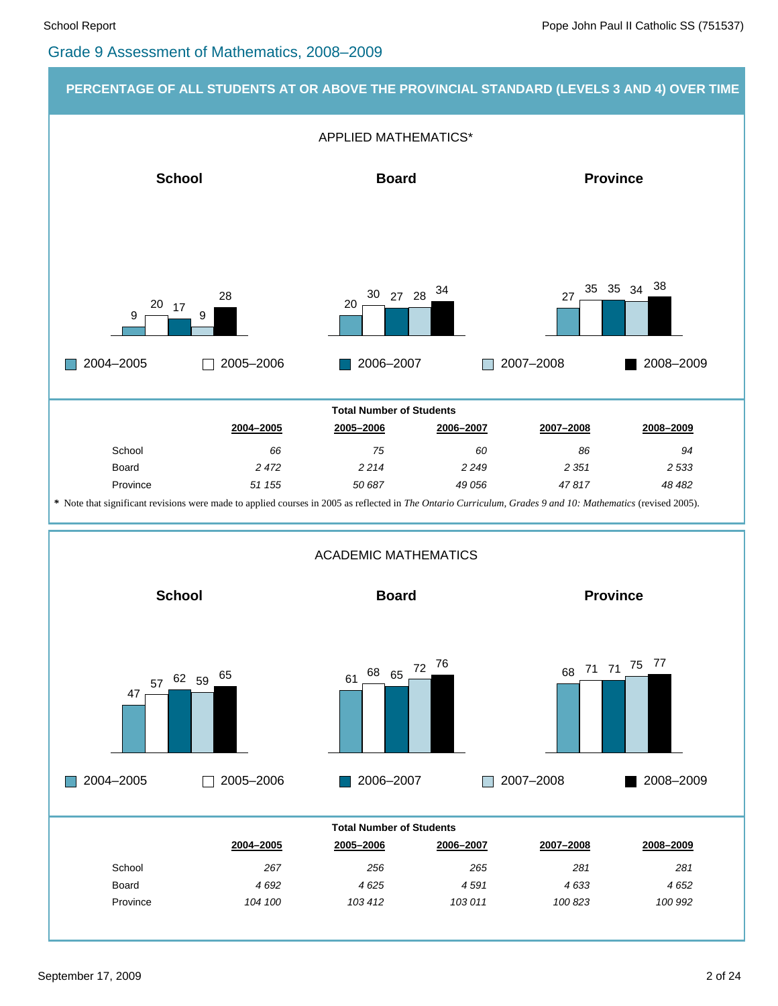#### Grade 9 Assessment of Mathematics, 2008–2009

#### **PERCENTAGE OF ALL STUDENTS AT OR ABOVE THE PROVINCIAL STANDARD (LEVELS 3 AND 4) OVER TIME**

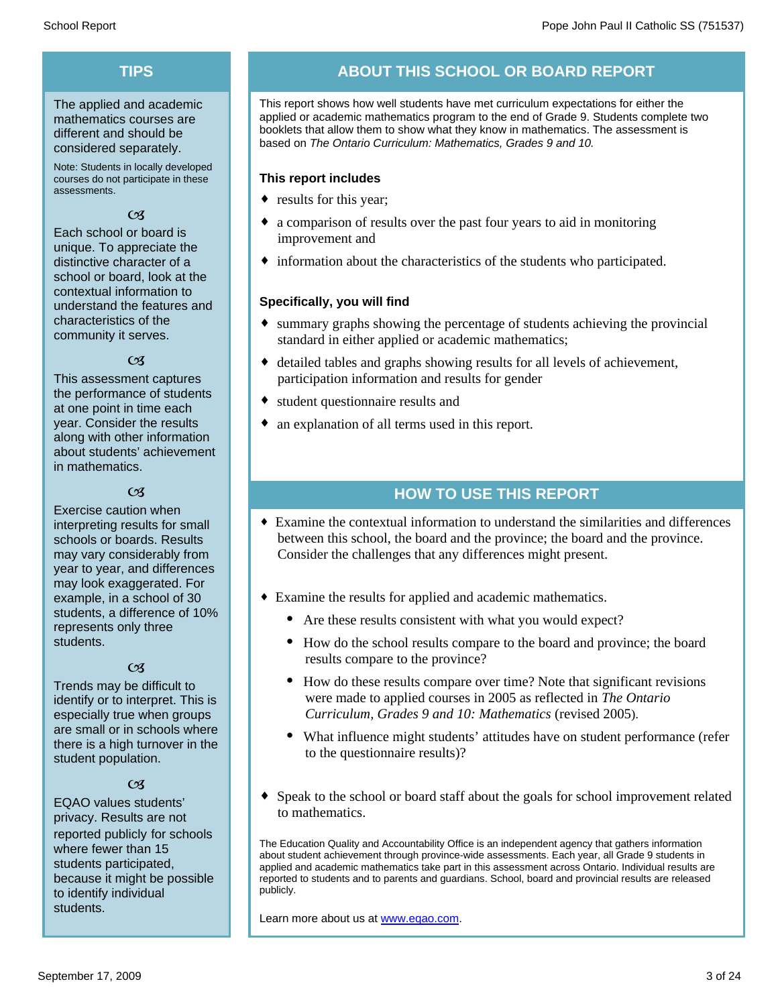## **TIPS**

The applied and academic mathematics courses are different and should be considered separately.

Note: Students in locally developed courses do not participate in these assessments.

#### $\mathfrak{C}$

Each school or board is unique. To appreciate the distinctive character of a school or board, look at the contextual information to understand the features and characteristics of the community it serves.

#### $\alpha$

This assessment captures the performance of students at one point in time each year. Consider the results along with other information about students' achievement in mathematics.

#### $\alpha$

Exercise caution when interpreting results for small schools or boards. Results may vary considerably from year to year, and differences may look exaggerated. For example, in a school of 30 students, a difference of 10% represents only three students.

#### $\mathfrak{C}$

Trends may be difficult to identify or to interpret. This is especially true when groups are small or in schools where there is a high turnover in the student population.

#### $C<sub>3</sub>$

EQAO values students' privacy. Results are not reported publicly for schools where fewer than 15 students participated, because it might be possible to identify individual students.

## **ABOUT THIS SCHOOL OR BOARD REPORT**

This report shows how well students have met curriculum expectations for either the applied or academic mathematics program to the end of Grade 9. Students complete two booklets that allow them to show what they know in mathematics. The assessment is based on *The Ontario Curriculum: Mathematics, Grades 9 and 10.*

#### **This report includes**

- results for this year;
- a comparison of results over the past four years to aid in monitoring improvement and
- $\bullet$  information about the characteristics of the students who participated.

#### **Specifically, you will find**

- $\bullet$  summary graphs showing the percentage of students achieving the provincial standard in either applied or academic mathematics;
- $\bullet$  detailed tables and graphs showing results for all levels of achievement, participation information and results for gender
- student questionnaire results and
- $\bullet$  an explanation of all terms used in this report.

## **HOW TO USE THIS REPORT**

- ¨ Examine the contextual information to understand the similarities and differences between this school, the board and the province; the board and the province. Consider the challenges that any differences might present.
- Examine the results for applied and academic mathematics.
	- Are these results consistent with what you would expect?
	- · How do the school results compare to the board and province; the board results compare to the province?
	- · How do these results compare over time? Note that significant revisions were made to applied courses in 2005 as reflected in *The Ontario Curriculum, Grades 9 and 10: Mathematics* (revised 2005).
	- · What influence might students' attitudes have on student performance (refer to the questionnaire results)?
- Speak to the school or board staff about the goals for school improvement related to mathematics.

The Education Quality and Accountability Office is an independent agency that gathers information about student achievement through province-wide assessments. Each year, all Grade 9 students in applied and academic mathematics take part in this assessment across Ontario. Individual results are reported to students and to parents and guardians. School, board and provincial results are released publicly.

Learn more about us at www.eqao.com.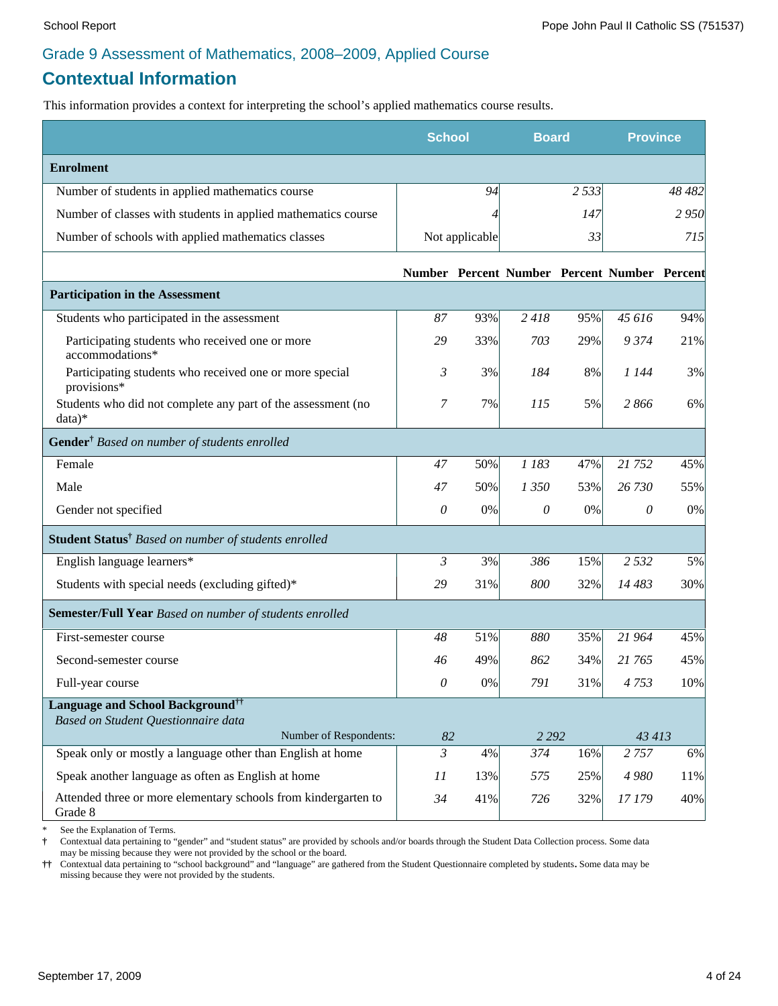# **Contextual Information**

This information provides a context for interpreting the school's applied mathematics course results.

|                                                                           | <b>School</b>  |                | <b>Board</b>                                 |         | <b>Province</b> |        |
|---------------------------------------------------------------------------|----------------|----------------|----------------------------------------------|---------|-----------------|--------|
| <b>Enrolment</b>                                                          |                |                |                                              |         |                 |        |
| Number of students in applied mathematics course                          |                | 94             |                                              | 2 5 3 3 |                 | 48 482 |
| Number of classes with students in applied mathematics course             |                | Δ              |                                              | 147     |                 | 2950   |
| Number of schools with applied mathematics classes                        |                | Not applicable |                                              | 33      |                 | 715    |
|                                                                           |                |                | Number Percent Number Percent Number Percent |         |                 |        |
| <b>Participation in the Assessment</b>                                    |                |                |                                              |         |                 |        |
| Students who participated in the assessment                               | 87             | 93%            | 2418                                         | 95%     | 45 616          | 94%    |
| Participating students who received one or more<br>accommodations*        | 29             | 33%            | 703                                          | 29%     | 9374            | 21%    |
| Participating students who received one or more special<br>provisions*    | 3              | 3%             | 184                                          | 8%      | 1 144           | 3%     |
| Students who did not complete any part of the assessment (no<br>data)*    | 7              | 7%             | 115                                          | 5%      | 2866            | 6%     |
| Gender <sup>†</sup> Based on number of students enrolled                  |                |                |                                              |         |                 |        |
| Female                                                                    | 47             | 50%            | 1 183                                        | 47%     | 21 752          | 45%    |
| Male                                                                      | 47             | 50%            | 1 350                                        | 53%     | 26 730          | 55%    |
| Gender not specified                                                      | 0              | 0%             | $\theta$                                     | $0\%$   | $\theta$        | $0\%$  |
| Student Status <sup>†</sup> Based on number of students enrolled          |                |                |                                              |         |                 |        |
| English language learners*                                                | 3              | 3%             | 386                                          | 15%     | 2 5 3 2         | 5%     |
| Students with special needs (excluding gifted)*                           | 29             | 31%            | 800                                          | 32%     | 14 483          | 30%    |
| Semester/Full Year Based on number of students enrolled                   |                |                |                                              |         |                 |        |
| First-semester course                                                     | 48             | 51%            | 880                                          | 35%     | 21 964          | 45%    |
| Second-semester course                                                    | 46             | 49%            | 862                                          | 34%     | 21 765          | 45%    |
| Full-year course                                                          | 0              | 0%             | 791                                          | 31%     | 4753            | 10%    |
| <b>Language and School Background</b> <sup>††</sup>                       |                |                |                                              |         |                 |        |
| Based on Student Questionnaire data<br>Number of Respondents:             | 82             |                | 2 2 9 2                                      |         | 43 413          |        |
| Speak only or mostly a language other than English at home                | $\overline{3}$ | 4%             | 374                                          | 16%     | 2 7 5 7         | $6\%$  |
| Speak another language as often as English at home                        | 11             | 13%            | 575                                          | 25%     | 4 9 8 0         | 11%    |
| Attended three or more elementary schools from kindergarten to<br>Grade 8 | 34             | 41%            | 726                                          | 32%     | 17 179          | 40%    |

See the Explanation of Terms.

**†** Contextual data pertaining to "gender" and "student status" are provided by schools and/or boards through the Student Data Collection process. Some data may be missing because they were not provided by the school or the board.

**††** Contextual data pertaining to "school background" and "language" are gathered from the Student Questionnaire completed by students**.** Some data may be missing because they were not provided by the students.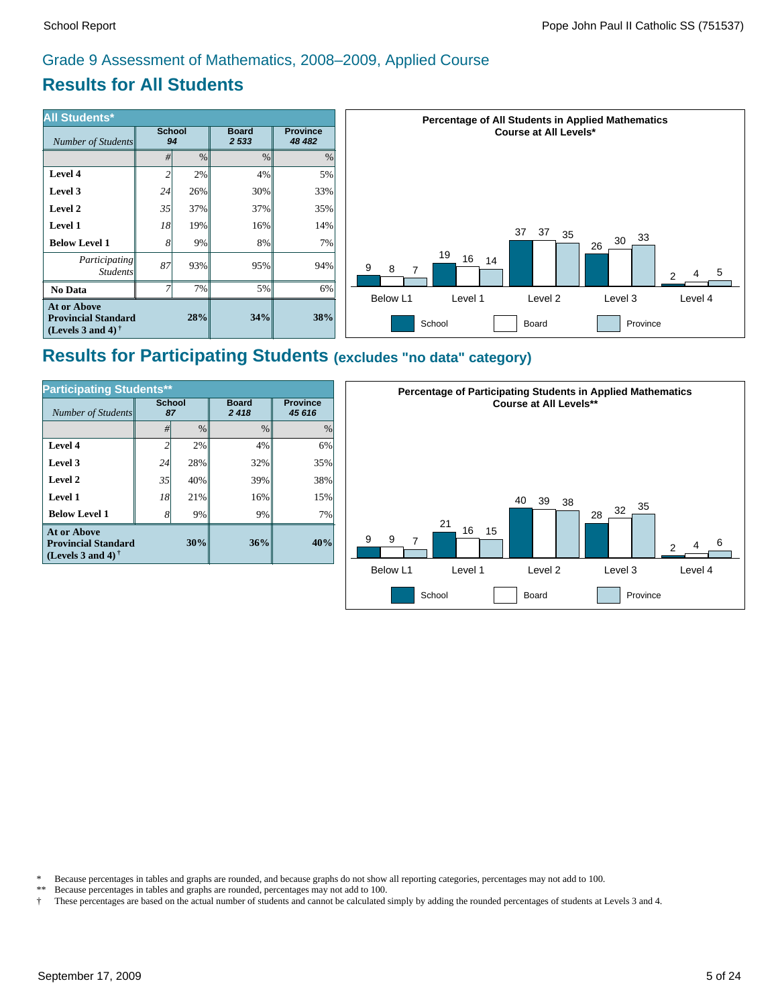# **Results for All Students**

| <b>All Students*</b>                                                           |                     |      |                         |                            | <b>Percentage of All Students in Applied Mathematics</b>                            |  |  |  |
|--------------------------------------------------------------------------------|---------------------|------|-------------------------|----------------------------|-------------------------------------------------------------------------------------|--|--|--|
| Number of Students                                                             | <b>School</b><br>94 |      | <b>Board</b><br>2 5 3 3 | <b>Province</b><br>48 4 82 | <b>Course at All Levels*</b>                                                        |  |  |  |
|                                                                                | #l                  | $\%$ | $\%$                    | %                          |                                                                                     |  |  |  |
| Level 4                                                                        | 2                   | 2%   | $4\%$                   | 5%                         |                                                                                     |  |  |  |
| Level 3                                                                        | 24                  | 26%  | 30%                     | 33%                        |                                                                                     |  |  |  |
| Level 2                                                                        | 35                  | 37%  | 37%                     | 35%                        |                                                                                     |  |  |  |
| <b>Level 1</b>                                                                 | 18                  | 19%  | $16\%$                  | 14%                        | 37<br>37                                                                            |  |  |  |
| <b>Below Level 1</b>                                                           | 81                  | 9%   | $8\%$                   | 7%                         | 35<br>33<br>30<br>26                                                                |  |  |  |
| Participating<br><i>Students</i>                                               | 87                  | 93%  | $95\%$                  | 94%                        | 19<br>16<br>14<br>9<br>8<br>$\overline{7}$<br>5<br>C                                |  |  |  |
| No Data                                                                        |                     | 7%   | $5\%$                   | 6%                         |                                                                                     |  |  |  |
| <b>At or Above</b><br><b>Provincial Standard</b><br>(Levels 3 and 4) $\dagger$ |                     | 28%  | 34%                     | 38%                        | Level 4<br>Below L1<br>Level 2<br>Level 3<br>Level 1<br>School<br>Province<br>Board |  |  |  |

## **Results for Participating Students (excludes "no data" category)**

| <b>Participating Students**</b>                                         |                     |               |                      |                           |  |  |  |  |
|-------------------------------------------------------------------------|---------------------|---------------|----------------------|---------------------------|--|--|--|--|
| Number of Students                                                      | <b>School</b><br>87 |               | <b>Board</b><br>2418 | <b>Province</b><br>45 616 |  |  |  |  |
|                                                                         | #                   | $\frac{0}{0}$ | $\frac{0}{0}$        | $\frac{0}{0}$             |  |  |  |  |
| Level 4                                                                 | 2                   | 2%            | 4%                   | 6%                        |  |  |  |  |
| Level 3                                                                 | 24                  | 28%           | 32%                  | 35%                       |  |  |  |  |
| Level 2                                                                 | 35                  | 40%           | 39%                  | 38%                       |  |  |  |  |
| Level 1                                                                 | 18                  | 21%           | 16%                  | 15%                       |  |  |  |  |
| <b>Below Level 1</b>                                                    | 8                   | 9%            | 9%                   | 7%                        |  |  |  |  |
| At or Above<br><b>Provincial Standard</b><br>(Levels 3 and 4) $\dagger$ |                     | 30%           | 36%                  | 40%                       |  |  |  |  |



\* Because percentages in tables and graphs are rounded, and because graphs do not show all reporting categories, percentages may not add to 100.<br>\*\* Because percentages in tables and graphs are rounded, percentages may not

- Because percentages in tables and graphs are rounded, percentages may not add to 100.
- † These percentages are based on the actual number of students and cannot be calculated simply by adding the rounded percentages of students at Levels 3 and 4.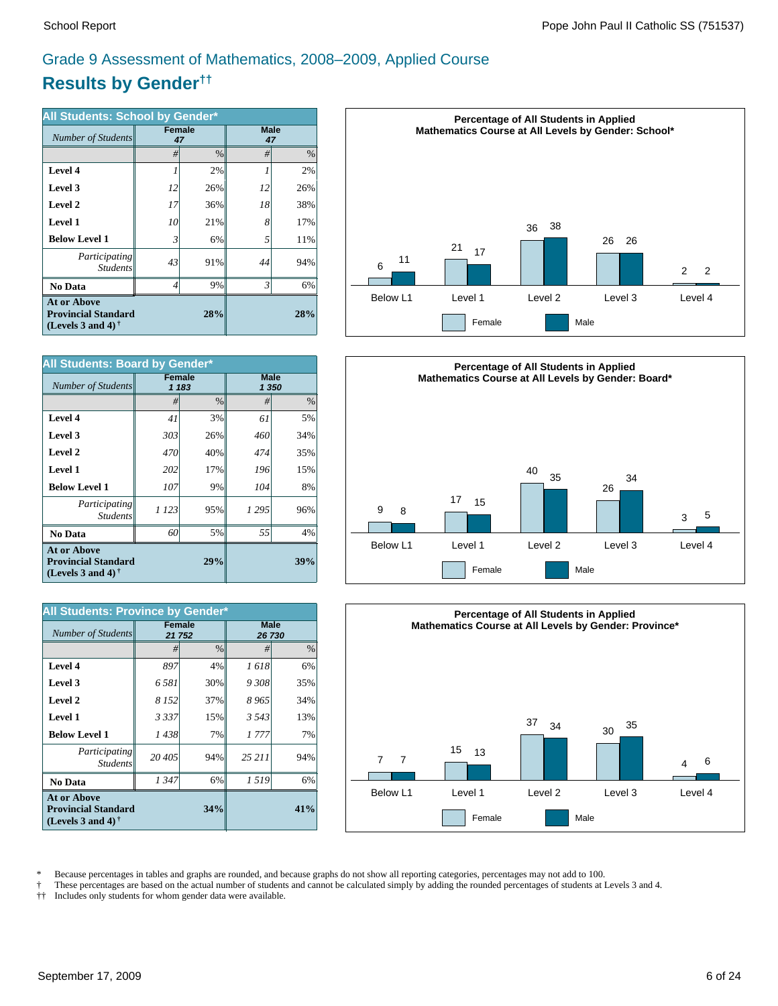# **Results by Gender††** Grade 9 Assessment of Mathematics, 2008–2009, Applied Course

| All Students: School by Gender*                                                |                |                     |                   |               |  |  |  |
|--------------------------------------------------------------------------------|----------------|---------------------|-------------------|---------------|--|--|--|
| Number of Students                                                             |                | <b>Female</b><br>47 | <b>Male</b><br>47 |               |  |  |  |
|                                                                                | #              | $\frac{0}{0}$       | #                 | $\frac{0}{0}$ |  |  |  |
| Level 4                                                                        |                | 2%                  |                   | 2%            |  |  |  |
| Level 3                                                                        | 12             | 26%                 | 12                | 26%           |  |  |  |
| Level 2                                                                        | 17             | 36%                 | 18                | 38%           |  |  |  |
| Level 1                                                                        | 10             | 21%                 | 8                 | 17%           |  |  |  |
| <b>Below Level 1</b>                                                           | 3              | 6%                  | 5                 | 11%           |  |  |  |
| Participating<br><b>Students</b>                                               | 43             | 91%                 | 44                | 94%           |  |  |  |
| No Data                                                                        | $\overline{4}$ | 9%                  | 3                 | 6%            |  |  |  |
| <b>At or Above</b><br><b>Provincial Standard</b><br>(Levels 3 and 4) $\dagger$ |                | 28%                 |                   |               |  |  |  |

| All Students: Board by Gender*                                                 |               |       |                      |               |  |  |  |
|--------------------------------------------------------------------------------|---------------|-------|----------------------|---------------|--|--|--|
| Number of Students                                                             | <b>Female</b> | 1 183 | <b>Male</b><br>1 350 |               |  |  |  |
|                                                                                | #             | $\%$  | #                    | $\frac{0}{0}$ |  |  |  |
| Level 4                                                                        | 41            | 3%    | 61                   | 5%            |  |  |  |
| Level 3                                                                        | 303           | 26%   | 460                  | 34%           |  |  |  |
| Level 2                                                                        | 470           | 40%   | 474                  | 35%           |  |  |  |
| <b>Level 1</b>                                                                 | 202           | 17%   | 196                  | 15%           |  |  |  |
| <b>Below Level 1</b>                                                           | 107           | 9%    | 104                  | 8%            |  |  |  |
| Participating<br><b>Students</b>                                               | 1 1 2 3       | 95%   | 1 2 9 5              | 96%           |  |  |  |
| <b>No Data</b>                                                                 | 60            | 5%    | 55                   | 4%            |  |  |  |
| <b>At or Above</b><br><b>Provincial Standard</b><br>(Levels 3 and 4) $\dagger$ |               | 39%   |                      |               |  |  |  |

| All Students: Province by Gender*                                                 |         |               |                       |               |  |  |  |
|-----------------------------------------------------------------------------------|---------|---------------|-----------------------|---------------|--|--|--|
| Number of Students                                                                | 21 752  | Female        | <b>Male</b><br>26 730 |               |  |  |  |
|                                                                                   | #       | $\frac{0}{0}$ | #                     | $\frac{0}{0}$ |  |  |  |
| Level 4                                                                           | 897     | 4%            | 1618                  | 6%            |  |  |  |
| Level 3                                                                           | 6.581   | 30%           | 9308                  | 35%           |  |  |  |
| Level 2                                                                           | 8 1 5 2 | 37%           | 8965                  | 34%           |  |  |  |
| <b>Level 1</b>                                                                    | 3337    | 15%           | 3 5 4 3               | 13%           |  |  |  |
| <b>Below Level 1</b>                                                              | 1438    | 7%            | 1 777                 | 7%            |  |  |  |
| Participating<br><b>Students</b>                                                  | 20 405  | 94%           | 25 211                | 94%           |  |  |  |
| <b>No Data</b>                                                                    | 1347    | 6%            | 1519                  | 6%            |  |  |  |
| <b>At or Above</b><br><b>Provincial Standard</b><br>(Levels 3 and 4) $^{\dagger}$ |         | 41%           |                       |               |  |  |  |







\* Because percentages in tables and graphs are rounded, and because graphs do not show all reporting categories, percentages may not add to 100.<br>These percentages are based on the actual number of students and cannot be ca

† These percentages are based on the actual number of students and cannot be calculated simply by adding the rounded percentages of students at Levels 3 and 4.

Includes only students for whom gender data were available.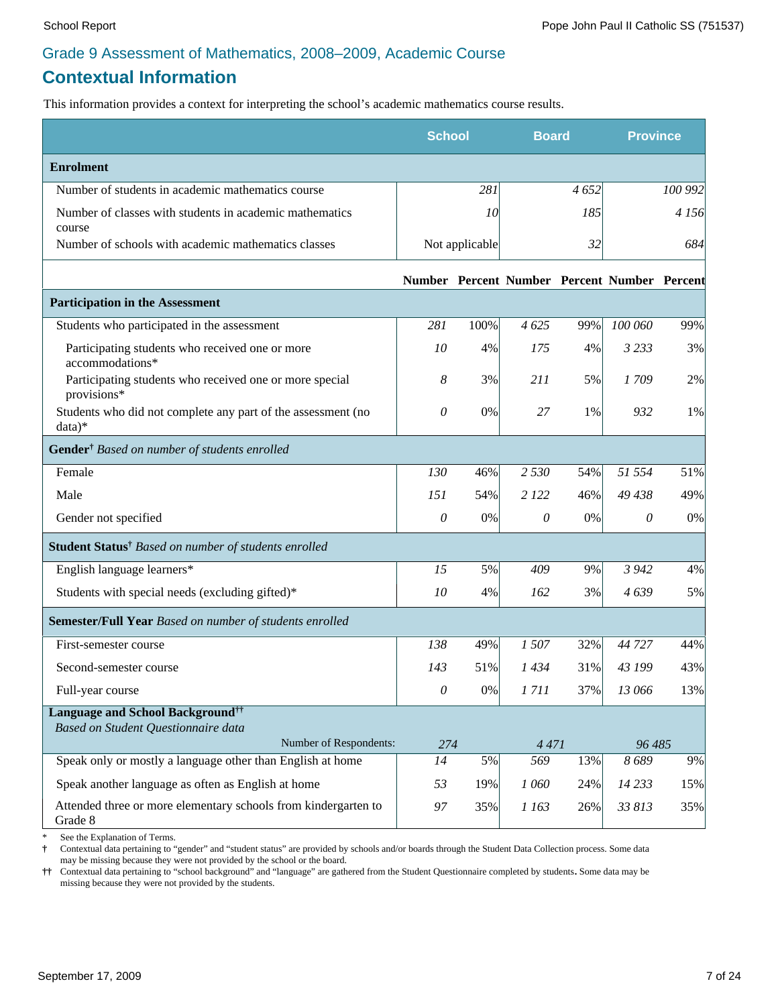# **Contextual Information**

This information provides a context for interpreting the school's academic mathematics course results.

|                                                                           | <b>School</b>   |                | <b>Board</b> |      | <b>Province</b>                              |         |
|---------------------------------------------------------------------------|-----------------|----------------|--------------|------|----------------------------------------------|---------|
| <b>Enrolment</b>                                                          |                 |                |              |      |                                              |         |
| Number of students in academic mathematics course                         |                 | 281            |              | 4652 |                                              | 100 992 |
| Number of classes with students in academic mathematics<br>course         |                 | 10             |              | 185  |                                              | 4 1 5 6 |
| Number of schools with academic mathematics classes                       |                 | Not applicable |              | 32   |                                              | 684     |
|                                                                           |                 |                |              |      | Number Percent Number Percent Number Percent |         |
| <b>Participation in the Assessment</b>                                    |                 |                |              |      |                                              |         |
| Students who participated in the assessment                               | 281             | 100%           | 4625         | 99%  | 100 060                                      | 99%     |
| Participating students who received one or more<br>accommodations*        | 10              | 4%             | 175          | 4%   | 3 2 3 3                                      | 3%      |
| Participating students who received one or more special<br>provisions*    | 8               | 3%             | 211          | 5%   | 1709                                         | 2%      |
| Students who did not complete any part of the assessment (no<br>data)*    | 0               | 0%             | 27           | 1%   | 932                                          | 1%      |
| Gender <sup>†</sup> Based on number of students enrolled                  |                 |                |              |      |                                              |         |
| Female                                                                    | 130             | 46%            | 2 5 3 0      | 54%  | 51 554                                       | 51%     |
| Male                                                                      | 151             | 54%            | 2 1 2 2      | 46%  | 49 438                                       | 49%     |
| Gender not specified                                                      | $\mathcal O$    | 0%             | 0            | 0%   | 0                                            | 0%      |
| Student Status <sup>†</sup> Based on number of students enrolled          |                 |                |              |      |                                              |         |
| English language learners*                                                | 15              | 5%             | 409          | 9%   | 3 9 4 2                                      | 4%      |
| Students with special needs (excluding gifted)*                           | 10              | 4%             | 162          | 3%   | 4639                                         | 5%      |
| Semester/Full Year Based on number of students enrolled                   |                 |                |              |      |                                              |         |
| First-semester course                                                     | 138             | 49%            | 1507         | 32%  | 44 727                                       | 44%     |
| Second-semester course                                                    | 143             | 51%            | 1434         | 31%  | 43 199                                       | 43%     |
| Full-year course                                                          | $\theta$        | 0%             | 1711         | 37%  | 13 066                                       | 13%     |
| Language and School Background <sup>††</sup>                              |                 |                |              |      |                                              |         |
| Based on Student Questionnaire data<br>Number of Respondents:             | 274             |                | 4 4 7 1      |      | 96 485                                       |         |
| Speak only or mostly a language other than English at home                | $\overline{14}$ | 5%             | 569          | 13%  | 8689                                         | 9%      |
| Speak another language as often as English at home                        | 53              | 19%            | 1 060        | 24%  | 14 2 33                                      | 15%     |
| Attended three or more elementary schools from kindergarten to<br>Grade 8 | 97              | 35%            | 1 163        | 26%  | 33 813                                       | 35%     |

See the Explanation of Terms.

**†** Contextual data pertaining to "gender" and "student status" are provided by schools and/or boards through the Student Data Collection process. Some data may be missing because they were not provided by the school or the board.

**††** Contextual data pertaining to "school background" and "language" are gathered from the Student Questionnaire completed by students**.** Some data may be missing because they were not provided by the students.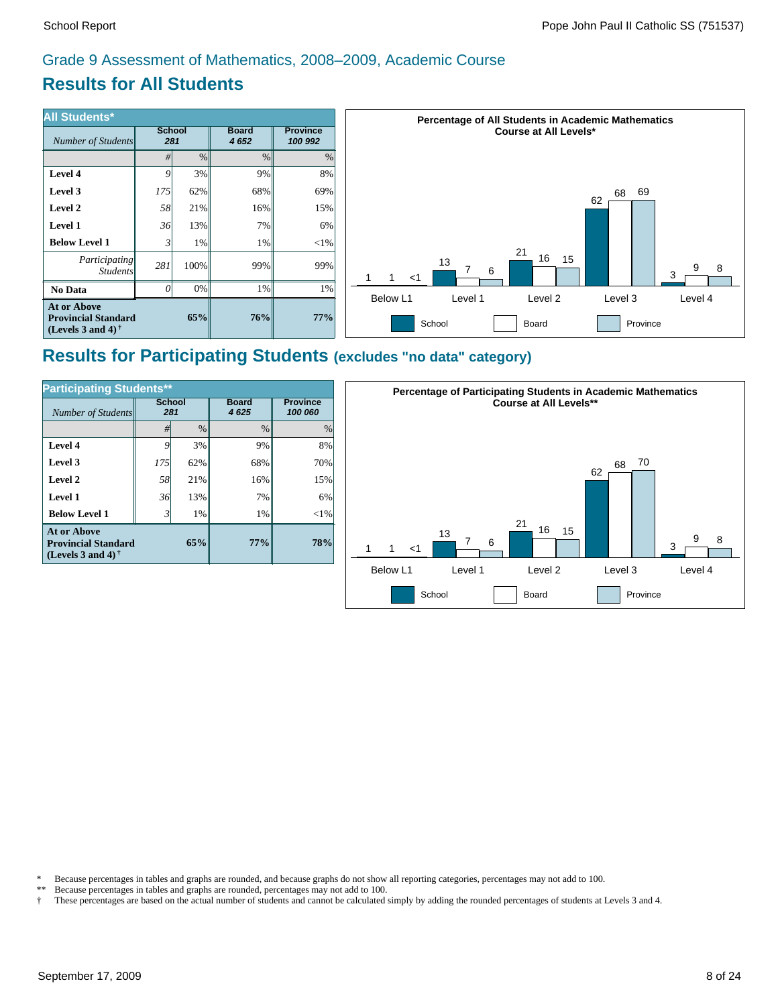# **Results for All Students**

| <b>All Students*</b>                                                           |     |                      |                      |                            | <b>Percentage of All Students in Academic Mathematics</b> |
|--------------------------------------------------------------------------------|-----|----------------------|----------------------|----------------------------|-----------------------------------------------------------|
| Number of Students                                                             |     | <b>School</b><br>281 | <b>Board</b><br>4652 | <b>Province</b><br>100 992 | <b>Course at All Levels*</b>                              |
|                                                                                | #I  | $\%$                 | $\%$                 | $\%$                       |                                                           |
| Level 4                                                                        | Q   | 3%                   | 9%                   | 8%                         |                                                           |
| Level 3                                                                        | 175 | 62%                  | 68%                  | 69%                        | 69<br>68                                                  |
| Level 2                                                                        | 58  | 21%                  | 16%                  | 15%                        | 62                                                        |
| Level 1                                                                        | 36  | 13%                  | 7%                   | 6%                         |                                                           |
| <b>Below Level 1</b>                                                           |     | 1%                   | $1\%$                | $<$ 1%                     |                                                           |
| Participating<br><i>Students</i>                                               | 281 | 100%                 | 99%                  | 99%                        | 21<br>16<br>15<br>13<br>9<br>8<br>6<br>3<br>1<br>$<$ 1    |
| No Data                                                                        | ( ) | $0\%$                | 1%                   | 1%                         | Below L1<br>Level 4<br>Level 1<br>Level 2<br>Level 3      |
| <b>At or Above</b><br><b>Provincial Standard</b><br>(Levels 3 and 4) $\dagger$ |     | 65%                  | 76%                  | 77%                        | School<br>Board<br>Province                               |

# **Results for Participating Students (excludes "no data" category)**

| <b>Participating Students**</b>                                                |                      |               |                      |                            |  |  |  |  |
|--------------------------------------------------------------------------------|----------------------|---------------|----------------------|----------------------------|--|--|--|--|
| Number of Students                                                             | <b>School</b><br>281 |               | <b>Board</b><br>4625 | <b>Province</b><br>100 060 |  |  |  |  |
|                                                                                | #                    | $\frac{0}{0}$ | $\frac{0}{0}$        | $\frac{0}{0}$              |  |  |  |  |
| Level 4                                                                        | 9                    | 3%            | 9%                   | 8%                         |  |  |  |  |
| Level 3                                                                        | 175                  | 62%           | 68%                  | 70%                        |  |  |  |  |
| Level 2                                                                        | 58                   | 21%           | 16%                  | 15%                        |  |  |  |  |
| Level 1                                                                        | 36                   | 13%           | 7%                   | 6%                         |  |  |  |  |
| <b>Below Level 1</b>                                                           | $\mathbf{3}$         | 1%            | 1%                   | $<$ 1%                     |  |  |  |  |
| <b>At or Above</b><br><b>Provincial Standard</b><br>(Levels 3 and 4) $\dagger$ |                      | 65%           | 77%                  | 78%                        |  |  |  |  |



\* Because percentages in tables and graphs are rounded, and because graphs do not show all reporting categories, percentages may not add to 100.<br>\*\* Because percentages in tables and graphs are rounded, percentages may not

Because percentages in tables and graphs are rounded, percentages may not add to 100.

† These percentages are based on the actual number of students and cannot be calculated simply by adding the rounded percentages of students at Levels 3 and 4.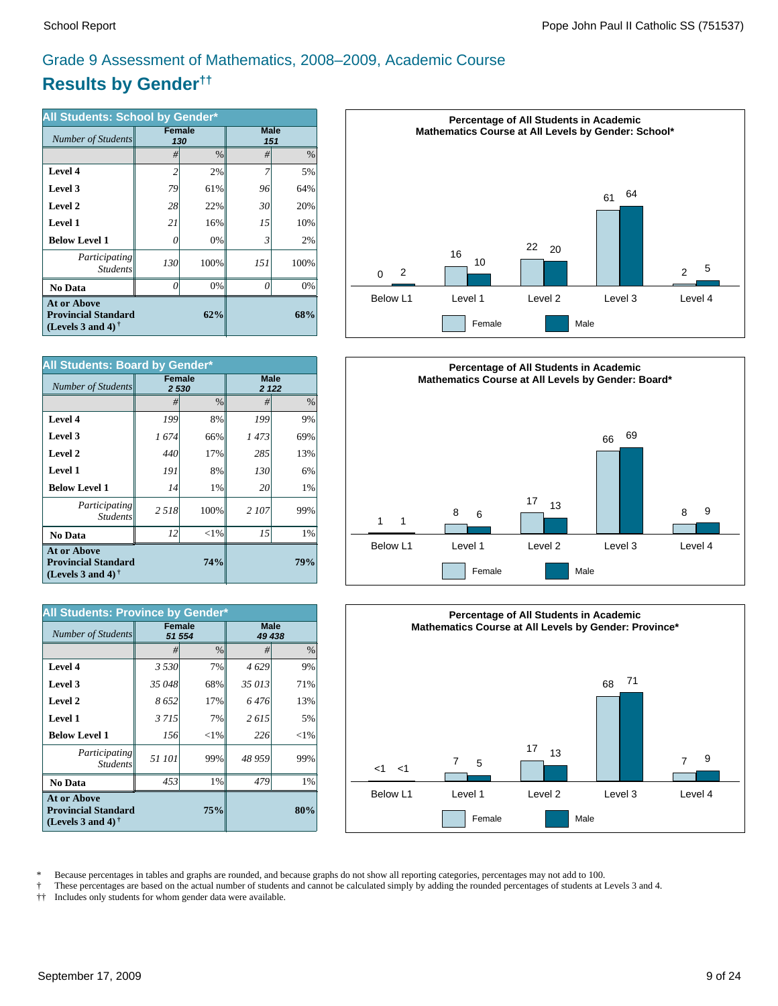# **Results by Gender††** Grade 9 Assessment of Mathematics, 2008–2009, Academic Course

| All Students: School by Gender*                                                |          |               |             |      |  |  |  |
|--------------------------------------------------------------------------------|----------|---------------|-------------|------|--|--|--|
| Number of Students                                                             |          | Female<br>130 | <b>Male</b> | 151  |  |  |  |
|                                                                                | #        | $\%$          | #           | $\%$ |  |  |  |
| Level 4                                                                        | 2        | 2%            |             | 5%   |  |  |  |
| Level 3                                                                        | 79       | 61%           | 96          | 64%  |  |  |  |
| Level 2                                                                        | 28       | 22%           | 30          | 20%  |  |  |  |
| Level 1                                                                        | 21       | 16%           | 15          | 10%  |  |  |  |
| <b>Below Level 1</b>                                                           | 0        | 0%            | 3           | 2%   |  |  |  |
| <i>Participating</i><br><b>Students</b>                                        | 130      | 100%          | 151         | 100% |  |  |  |
| <b>No Data</b>                                                                 | $\theta$ | 0%            | Ω           | 0%   |  |  |  |
| <b>At or Above</b><br><b>Provincial Standard</b><br>(Levels 3 and 4) $\dagger$ |          | 68%           |             |      |  |  |  |

| All Students: Board by Gender*                                                 |                        |          |                        |     |  |  |  |
|--------------------------------------------------------------------------------|------------------------|----------|------------------------|-----|--|--|--|
| Number of Students                                                             | <b>Female</b><br>2 530 |          | <b>Male</b><br>2 1 2 2 |     |  |  |  |
|                                                                                | #                      | $\%$     | #                      | %   |  |  |  |
| Level 4                                                                        | 199                    | 8%       | 199                    | 9%  |  |  |  |
| Level 3                                                                        | 1674                   | 66%      | 1473                   | 69% |  |  |  |
| Level 2                                                                        | 440                    | 17%      | 285                    | 13% |  |  |  |
| <b>Level 1</b>                                                                 | 191                    | 8%       | 130                    | 6%  |  |  |  |
| <b>Below Level 1</b>                                                           | 14                     | 1%       | 20                     | 1%  |  |  |  |
| Participating<br><b>Students</b>                                               | 2518                   | 100%     | 2 107                  | 99% |  |  |  |
| <b>No Data</b>                                                                 | 12                     | ${<}1\%$ | 15                     | 1%  |  |  |  |
| <b>At or Above</b><br><b>Provincial Standard</b><br>(Levels 3 and 4) $\dagger$ |                        | 79%      |                        |     |  |  |  |

| All Students: Province by Gender*                                                 |         |                         |                       |          |
|-----------------------------------------------------------------------------------|---------|-------------------------|-----------------------|----------|
| Number of Students                                                                |         | <b>Female</b><br>51 554 | <b>Male</b><br>49 438 |          |
|                                                                                   | #       | $\%$                    | #                     | $\%$     |
| <b>Level 4</b>                                                                    | 3 5 3 0 | 7%                      | 4629                  | 9%       |
| Level 3                                                                           | 35 048  | 68%                     | 35 013                | 71%      |
| Level 2                                                                           | 8652    | 17%                     | 6 476                 | 13%      |
| <b>Level 1</b>                                                                    | 3 7 1 5 | 7%                      | 2615                  | 5%       |
| <b>Below Level 1</b>                                                              | 156     | ${<}1%$                 | 226                   | ${<}1\%$ |
| Participating<br><b>Students</b>                                                  | 51 101  | 99%                     | 48 959                | 99%      |
| No Data                                                                           | 453     | 1%                      | 479                   | 1%       |
| <b>At or Above</b><br><b>Provincial Standard</b><br>(Levels 3 and 4) $^{\dagger}$ |         | 75%                     |                       | 80%      |







\* Because percentages in tables and graphs are rounded, and because graphs do not show all reporting categories, percentages may not add to 100.<br>These percentages are based on the actual number of students and cannot be ca

† These percentages are based on the actual number of students and cannot be calculated simply by adding the rounded percentages of students at Levels 3 and 4.

†† Includes only students for whom gender data were available.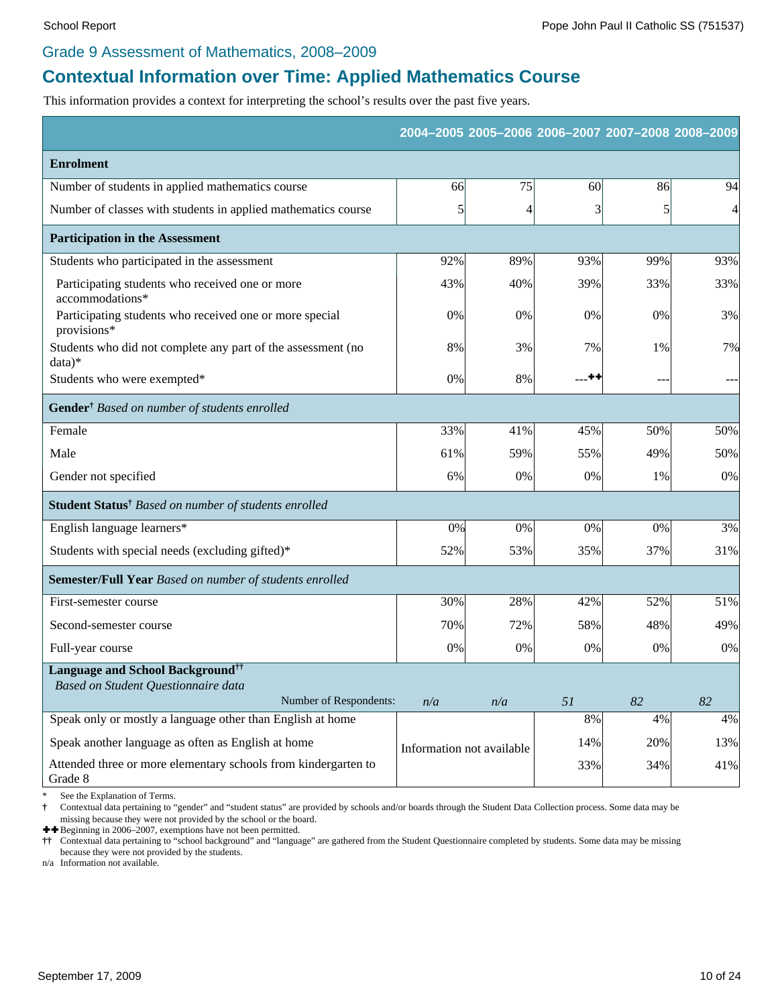#### Grade 9 Assessment of Mathematics, 2008–2009

## **Contextual Information over Time: Applied Mathematics Course**

This information provides a context for interpreting the school's results over the past five years.

|                                                                           |                           |     |       | 2004-2005 2005-2006 2006-2007 2007-2008 2008-2009 |     |
|---------------------------------------------------------------------------|---------------------------|-----|-------|---------------------------------------------------|-----|
| <b>Enrolment</b>                                                          |                           |     |       |                                                   |     |
| Number of students in applied mathematics course                          | 66                        | 75  | 60    | 86                                                | 94  |
| Number of classes with students in applied mathematics course             | 5                         | 4   | 3     | 5                                                 | 4   |
| <b>Participation in the Assessment</b>                                    |                           |     |       |                                                   |     |
| Students who participated in the assessment                               | 92%                       | 89% | 93%   | 99%                                               | 93% |
| Participating students who received one or more<br>accommodations*        | 43%                       | 40% | 39%   | 33%                                               | 33% |
| Participating students who received one or more special<br>provisions*    | 0%                        | 0%  | $0\%$ | 0%                                                | 3%  |
| Students who did not complete any part of the assessment (no<br>$data)*$  | 8%                        | 3%  | 7%    | 1%                                                | 7%  |
| Students who were exempted*                                               | 0%                        | 8%  | --**  | $--$                                              |     |
| Gender <sup>†</sup> Based on number of students enrolled                  |                           |     |       |                                                   |     |
| Female                                                                    | 33%                       | 41% | 45%   | 50%                                               | 50% |
| Male                                                                      | 61%                       | 59% | 55%   | 49%                                               | 50% |
| Gender not specified                                                      | 6%                        | 0%  | 0%    | 1%                                                | 0%  |
| Student Status <sup>†</sup> Based on number of students enrolled          |                           |     |       |                                                   |     |
| English language learners*                                                | 0%                        | 0%  | 0%    | 0%                                                | 3%  |
| Students with special needs (excluding gifted)*                           | 52%                       | 53% | 35%   | 37%                                               | 31% |
| <b>Semester/Full Year</b> Based on number of students enrolled            |                           |     |       |                                                   |     |
| First-semester course                                                     | 30%                       | 28% | 42%   | 52%                                               | 51% |
| Second-semester course                                                    | 70%                       | 72% | 58%   | 48%                                               | 49% |
| Full-year course                                                          | 0%                        | 0%  | $0\%$ | 0%                                                | 0%  |
| Language and School Background <sup>††</sup>                              |                           |     |       |                                                   |     |
| Based on Student Questionnaire data<br>Number of Respondents:             | n/a                       | n/a | 51    | 82                                                | 82  |
| Speak only or mostly a language other than English at home                |                           |     | $8\%$ | 4%                                                | 4%  |
| Speak another language as often as English at home                        | Information not available |     | 14%   | 20%                                               | 13% |
| Attended three or more elementary schools from kindergarten to<br>Grade 8 |                           |     | 33%   | 34%                                               | 41% |

See the Explanation of Terms.

**†** Contextual data pertaining to "gender" and "student status" are provided by schools and/or boards through the Student Data Collection process. Some data may be missing because they were not provided by the school or the board.

 $\blacklozenge$  Beginning in 2006–2007, exemptions have not been permitted.

**††** Contextual data pertaining to "school background" and "language" are gathered from the Student Questionnaire completed by students. Some data may be missing because they were not provided by the students.

n/a Information not available.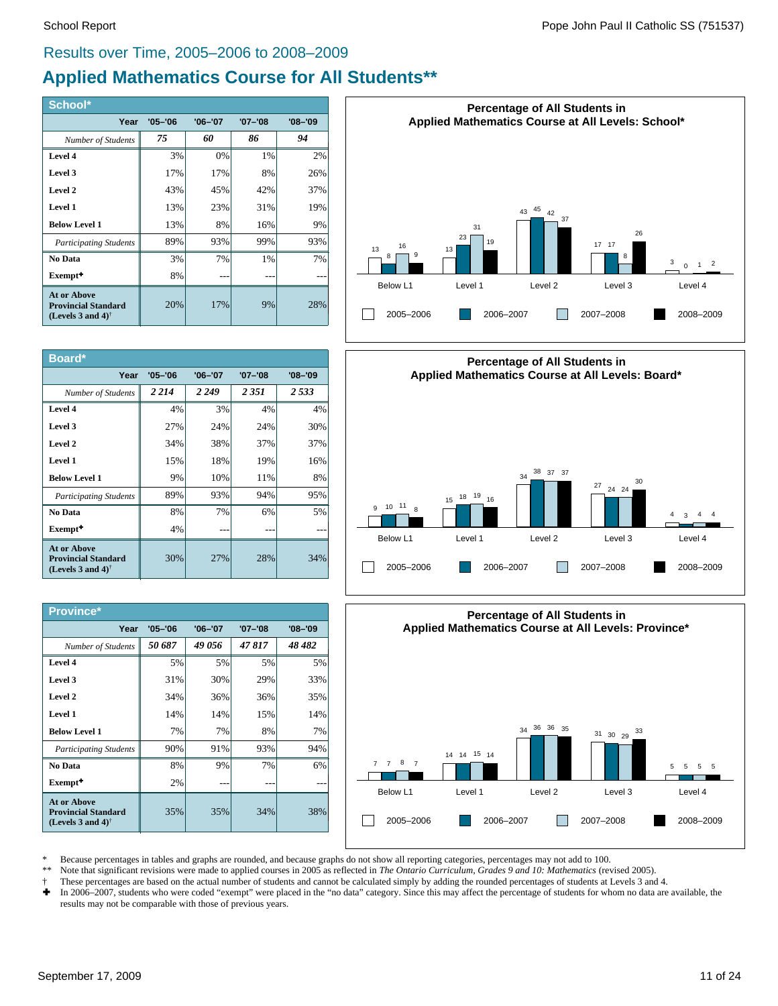#### Results over Time, 2005–2006 to 2008–2009

## **Applied Mathematics Course for All Students\*\***

| School*                                                                                              |             |             |             |         |
|------------------------------------------------------------------------------------------------------|-------------|-------------|-------------|---------|
| Year                                                                                                 | $'05 - '06$ | $'06 - '07$ | $'07 - '08$ | '08-'09 |
| Number of Students                                                                                   | 75          | 60          | 86          | 94      |
| Level 4                                                                                              | 3%          | 0%          | 1%          | 2%      |
| Level 3                                                                                              | 17%         | 17%         | 8%          | 26%     |
| Level 2                                                                                              | 43%         | 45%         | 42%         | 37%     |
| Level 1                                                                                              | 13%         | 23%         | 31%         | 19%     |
| <b>Below Level 1</b>                                                                                 | 13%         | 8%          | 16%         | 9%      |
| <b>Participating Students</b>                                                                        | 89%         | 93%         | 99%         | 93%     |
| No Data                                                                                              | 3%          | 7%          | 1%          | 7%      |
| Exempt <sup>+</sup>                                                                                  | 8%          |             |             |         |
| <b>At or Above</b><br><b>Provincial Standard</b><br>(Levels 3 and 4) <sup><math>\dagger</math></sup> | 20%         | 17%         | 9%          | 28%     |

| Board*                                                                                               |             |             |             |             |
|------------------------------------------------------------------------------------------------------|-------------|-------------|-------------|-------------|
| Year                                                                                                 | $'05 - '06$ | $'06 - '07$ | $'07 - '08$ | $'08 - '09$ |
| Number of Students                                                                                   | 2 2 1 4     | 2 2 4 9     | 2 3 5 1     | 2.533       |
| Level 4                                                                                              | 4%          | 3%          | 4%          | 4%          |
| Level 3                                                                                              | 27%         | 24%         | 24%         | 30%         |
| Level 2                                                                                              | 34%         | 38%         | 37%         | 37%         |
| Level 1                                                                                              | 15%         | 18%         | 19%         | 16%         |
| <b>Below Level 1</b>                                                                                 | 9%          | 10%         | 11%         | 8%          |
| <b>Participating Students</b>                                                                        | 89%         | 93%         | 94%         | 95%         |
| No Data                                                                                              | 8%          | 7%          | 6%          | 5%          |
| Exempt <sup>+</sup>                                                                                  | 4%          |             |             |             |
| <b>At or Above</b><br><b>Provincial Standard</b><br>(Levels 3 and 4) <sup><math>\dagger</math></sup> | 30%         | 27%         | 28%         | 34%         |

| <b>Province*</b>                                                                                     |             |             |             |             |
|------------------------------------------------------------------------------------------------------|-------------|-------------|-------------|-------------|
| Year                                                                                                 | $'05 - '06$ | $'06 - '07$ | $'07 - '08$ | $'08 - '09$ |
| Number of Students                                                                                   | 50 687      | 49 056      | 47817       | 48 482      |
| Level 4                                                                                              | 5%          | 5%          | 5%          | 5%          |
| Level 3                                                                                              | 31%         | 30%         | 29%         | 33%         |
| Level 2                                                                                              | 34%         | 36%         | 36%         | 35%         |
| Level 1                                                                                              | 14%         | 14%         | 15%         | 14%         |
| <b>Below Level 1</b>                                                                                 | 7%          | 7%          | 8%          | 7%          |
| <b>Participating Students</b>                                                                        | 90%         | 91%         | 93%         | 94%         |
| No Data                                                                                              | 8%          | 9%          | 7%          | 6%          |
| Exempt <sup>+</sup>                                                                                  | 2%          |             |             |             |
| <b>At or Above</b><br><b>Provincial Standard</b><br>(Levels 3 and 4) <sup><math>\dagger</math></sup> | 35%         | 35%         | 34%         | 38%         |







\* Because percentages in tables and graphs are rounded, and because graphs do not show all reporting categories, percentages may not add to 100.<br>\*\* Note that significant revisions were made to applied courses in 2005 as re

- Note that significant revisions were made to applied courses in 2005 as reflected in *The Ontario Curriculum, Grades 9 and 10: Mathematics* (revised 2005).
- † These percentages are based on the actual number of students and cannot be calculated simply by adding the rounded percentages of students at Levels 3 and 4.<br>► In 2006–2007, students who were coded "exempt" were placed
- In 2006-2007, students who were coded "exempt" were placed in the "no data" category. Since this may affect the percentage of students for whom no data are available, the results may not be comparable with those of previous years.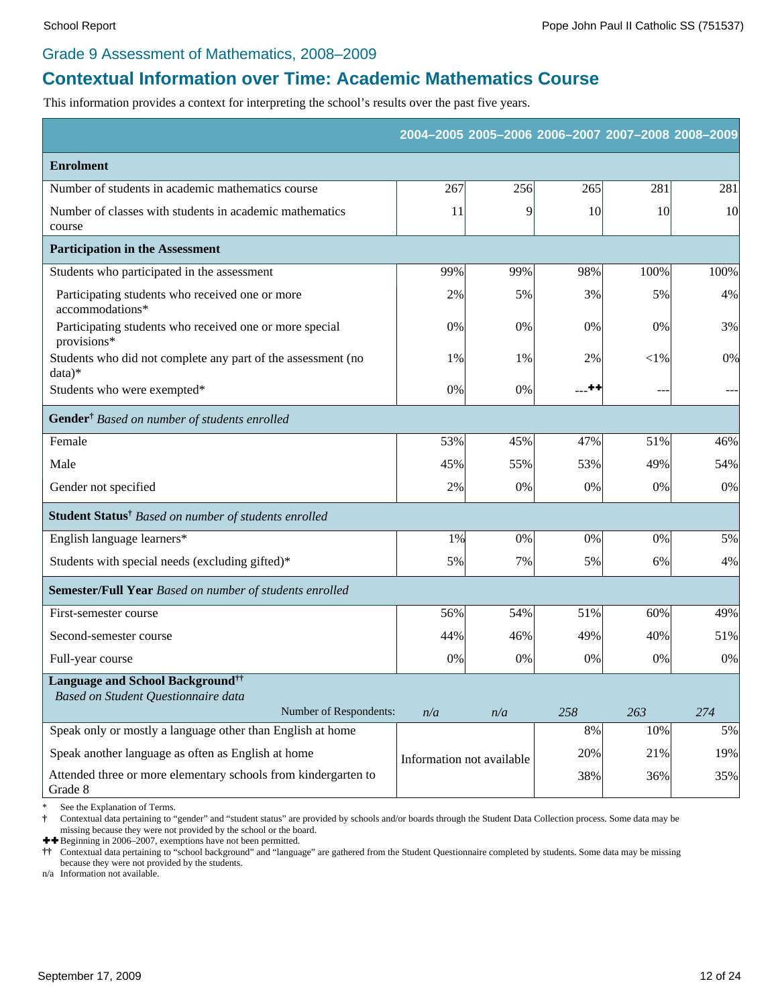#### Grade 9 Assessment of Mathematics, 2008–2009

## **Contextual Information over Time: Academic Mathematics Course**

This information provides a context for interpreting the school's results over the past five years.

|                                                                                            |                           |     |           | 2004-2005 2005-2006 2006-2007 2007-2008 2008-2009 |       |
|--------------------------------------------------------------------------------------------|---------------------------|-----|-----------|---------------------------------------------------|-------|
| <b>Enrolment</b>                                                                           |                           |     |           |                                                   |       |
| Number of students in academic mathematics course                                          | 267                       | 256 | 265       | 281                                               | 281   |
| Number of classes with students in academic mathematics<br>course                          | 11                        | 9   | <b>10</b> | 10                                                | 10    |
| <b>Participation in the Assessment</b>                                                     |                           |     |           |                                                   |       |
| Students who participated in the assessment                                                | 99%                       | 99% | 98%       | 100%                                              | 100%  |
| Participating students who received one or more<br>accommodations*                         | 2%                        | 5%  | 3%        | 5%                                                | 4%    |
| Participating students who received one or more special<br>provisions*                     | 0%                        | 0%  | 0%        | 0%                                                | 3%    |
| Students who did not complete any part of the assessment (no<br>$data)*$                   | 1%                        | 1%  | 2%        | ${<}1\%$                                          | 0%    |
| Students who were exempted*                                                                | 0%                        | 0%  | --**      | $\sim$ $\sim$                                     |       |
| Gender <sup>†</sup> Based on number of students enrolled                                   |                           |     |           |                                                   |       |
| Female                                                                                     | 53%                       | 45% | 47%       | 51%                                               | 46%   |
| Male                                                                                       | 45%                       | 55% | 53%       | 49%                                               | 54%   |
| Gender not specified                                                                       | 2%                        | 0%  | 0%        | 0%                                                | $0\%$ |
| Student Status <sup>†</sup> Based on number of students enrolled                           |                           |     |           |                                                   |       |
| English language learners*                                                                 | 1%                        | 0%  | 0%        | 0%                                                | 5%    |
| Students with special needs (excluding gifted)*                                            | 5%                        | 7%  | 5%        | 6%                                                | 4%    |
| Semester/Full Year Based on number of students enrolled                                    |                           |     |           |                                                   |       |
| First-semester course                                                                      | 56%                       | 54% | 51%       | 60%                                               | 49%   |
| Second-semester course                                                                     | 44%                       | 46% | 49%       | 40%                                               | 51%   |
| Full-year course                                                                           | 0%                        | 0%  | 0%        | 0%                                                | $0\%$ |
| <b>Language and School Background</b> <sup>††</sup><br>Based on Student Questionnaire data |                           |     |           |                                                   |       |
| Number of Respondents:                                                                     | n/a                       | n/a | 258       | 263                                               | 274   |
| Speak only or mostly a language other than English at home                                 |                           |     | $8\%$     | 10%                                               | 5%    |
| Speak another language as often as English at home                                         | Information not available |     | 20%       | 21%                                               | 19%   |
| Attended three or more elementary schools from kindergarten to<br>Grade 8                  |                           |     | 38%       | 36%                                               | 35%   |

See the Explanation of Terms.

**†** Contextual data pertaining to "gender" and "student status" are provided by schools and/or boards through the Student Data Collection process. Some data may be missing because they were not provided by the school or the board.

 $\ddagger\ddagger$  Beginning in 2006–2007, exemptions have not been permitted.<br>  $\dagger\ddagger$  Contextual data pertaining to "school background" and "langual"

**††** Contextual data pertaining to "school background" and "language" are gathered from the Student Questionnaire completed by students. Some data may be missing because they were not provided by the students.

n/a Information not available.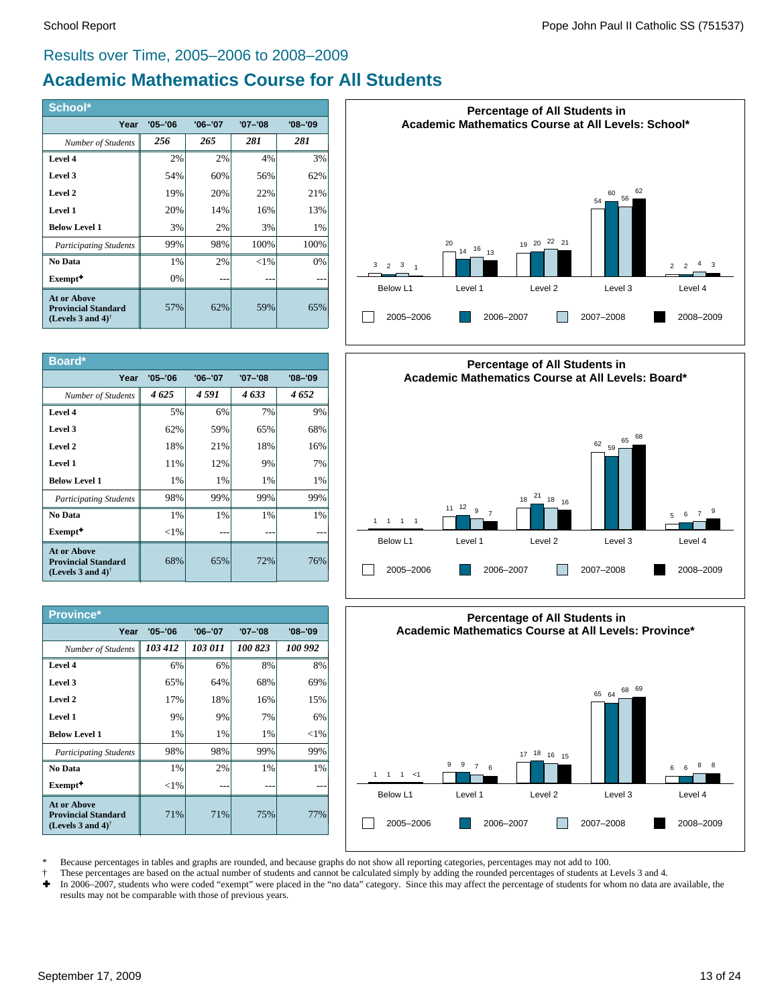#### Results over Time, 2005–2006 to 2008–2009

## **Academic Mathematics Course for All Students**

| School*                                                                                              |             |             |          |             |
|------------------------------------------------------------------------------------------------------|-------------|-------------|----------|-------------|
| Year                                                                                                 | $'05 - '06$ | $'06 - '07$ | '07-'08  | $'08 - '09$ |
| Number of Students                                                                                   | 256         | 265         | 281      | 281         |
| Level 4                                                                                              | 2%          | 2%          | 4%       | 3%          |
| Level 3                                                                                              | 54%         | 60%         | 56%      | 62%         |
| Level 2                                                                                              | 19%         | 20%         | 22%      | 21%         |
| Level 1                                                                                              | 20%         | 14%         | 16%      | 13%         |
| <b>Below Level 1</b>                                                                                 | 3%          | 2%          | 3%       | $1\%$       |
| <b>Participating Students</b>                                                                        | 99%         | 98%         | 100%     | 100%        |
| No Data                                                                                              | 1%          | 2%          | ${<}1\%$ | 0%          |
| Exempt <sup>+</sup>                                                                                  | 0%          |             |          |             |
| <b>At or Above</b><br><b>Provincial Standard</b><br>(Levels 3 and 4) <sup><math>\dagger</math></sup> | 57%         | 62%         | 59%      | 65%         |

| Board*                                                                                               |             |             |             |             |
|------------------------------------------------------------------------------------------------------|-------------|-------------|-------------|-------------|
| Year                                                                                                 | $'05 - '06$ | $'06 - '07$ | $'07 - '08$ | $'08 - '09$ |
| Number of Students                                                                                   | 4625        | 4 591       | 4633        | 4652        |
| Level 4                                                                                              | 5%          | 6%          | 7%          | 9%          |
| Level 3                                                                                              | 62%         | 59%         | 65%         | 68%         |
| Level 2                                                                                              | 18%         | 21%         | 18%         | 16%         |
| Level 1                                                                                              | 11%         | 12%         | 9%          | 7%          |
| <b>Below Level 1</b>                                                                                 | 1%          | 1%          | 1%          | 1%          |
| <b>Participating Students</b>                                                                        | 98%         | 99%         | 99%         | 99%         |
| No Data                                                                                              | 1%          | $1\%$       | 1%          | 1%          |
| Exempt <sup>+</sup>                                                                                  | ${<}1\%$    |             |             |             |
| <b>At or Above</b><br><b>Provincial Standard</b><br>(Levels 3 and 4) <sup><math>\dagger</math></sup> | 68%         | 65%         | 72%         | 76%         |

| <b>Province*</b>                                                                                     |             |             |             |             |
|------------------------------------------------------------------------------------------------------|-------------|-------------|-------------|-------------|
| Year                                                                                                 | $'05 - '06$ | $'06 - '07$ | $'07 - '08$ | $'08 - '09$ |
| Number of Students                                                                                   | 103 412     | 103 011     | 100 823     | 100 992     |
| Level 4                                                                                              | 6%          | 6%          | 8%          | 8%          |
| Level 3                                                                                              | 65%         | 64%         | 68%         | 69%         |
| Level 2                                                                                              | 17%         | 18%         | 16%         | 15%         |
| Level 1                                                                                              | 9%          | 9%          | 7%          | 6%          |
| <b>Below Level 1</b>                                                                                 | 1%          | 1%          | 1%          | ${<}1\%$    |
| <b>Participating Students</b>                                                                        | 98%         | 98%         | 99%         | 99%         |
| No Data                                                                                              | $1\%$       | 2%          | $1\%$       | $1\%$       |
| Exempt <sup>+</sup>                                                                                  | ${<}1\%$    |             |             |             |
| <b>At or Above</b><br><b>Provincial Standard</b><br>(Levels 3 and 4) <sup><math>\dagger</math></sup> | 71%         | 71%         | 75%         | 77%         |







\* Because percentages in tables and graphs are rounded, and because graphs do not show all reporting categories, percentages may not add to 100.

- † These percentages are based on the actual number of students and cannot be calculated simply by adding the rounded percentages of students at Levels 3 and 4.
- Ì In 2006–2007, students who were coded "exempt" were placed in the "no data" category. Since this may affect the percentage of students for whom no data are available, the results may not be comparable with those of previous years.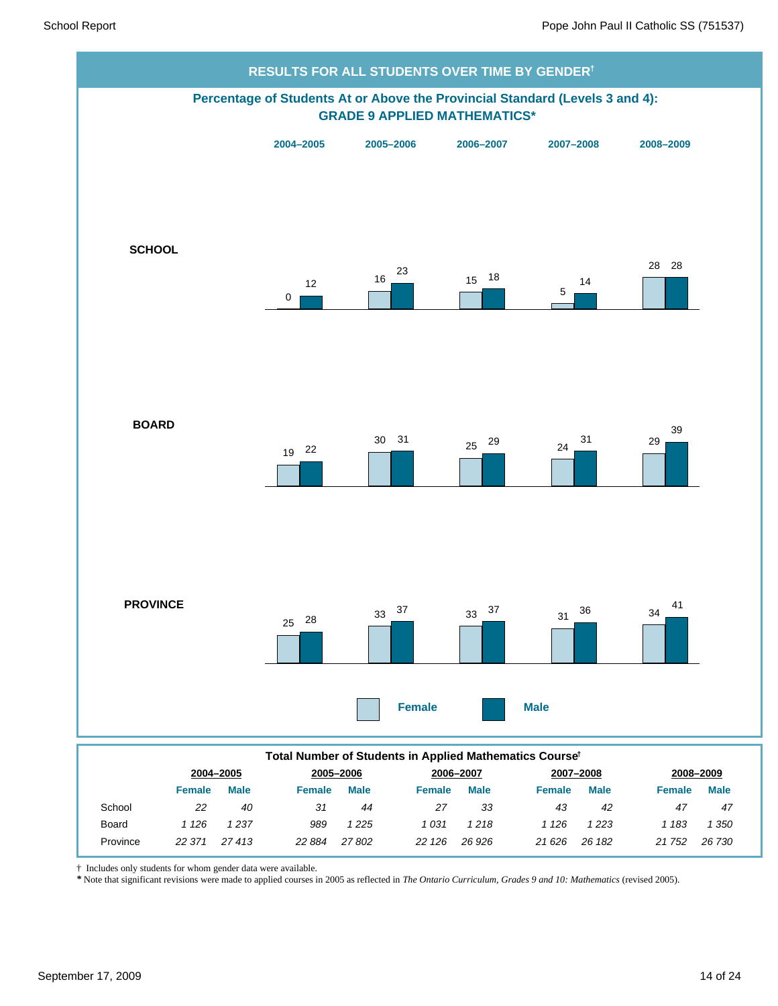

† Includes only students for whom gender data were available.

*\** Note that significant revisions were made to applied courses in 2005 as reflected in *The Ontario Curriculum, Grades 9 and 10: Mathematics* (revised 2005).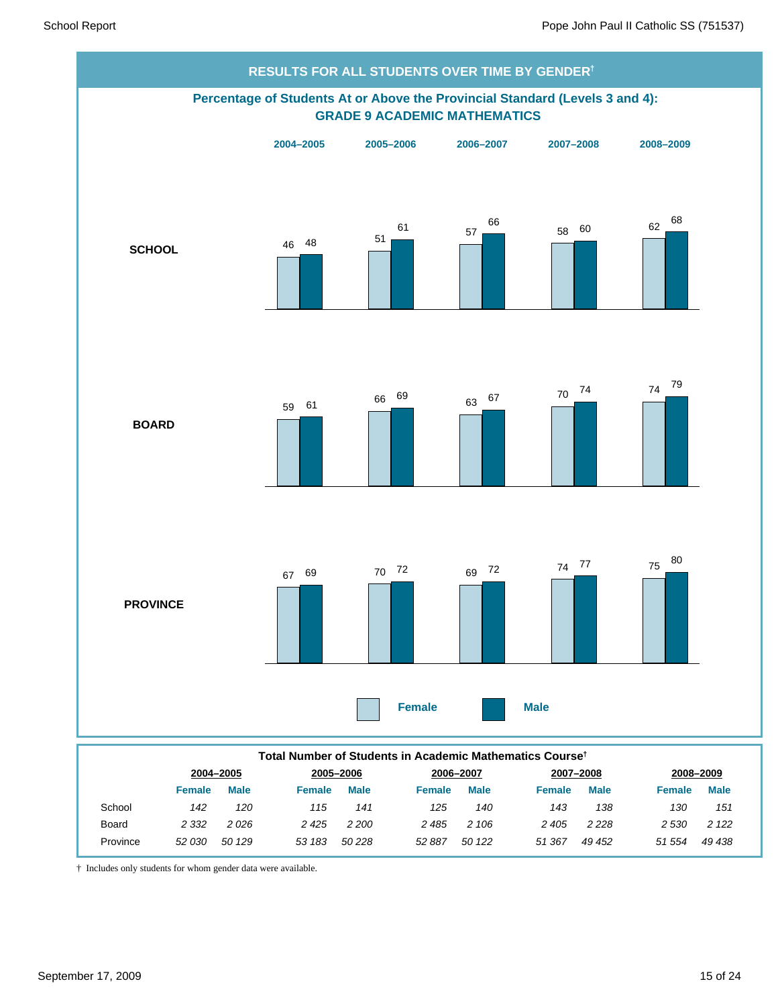

† Includes only students for whom gender data were available.

*2 332*

Province *52 030*

Board

*51 554 49 438 2 530 2 122*

*49 452 2 228*

*2 405*

*50 122 51 367*

*2 106*

*2 485*

*50 228 52 887*

*2 200*

*2 425*

*50 129 53 183*

*2 026*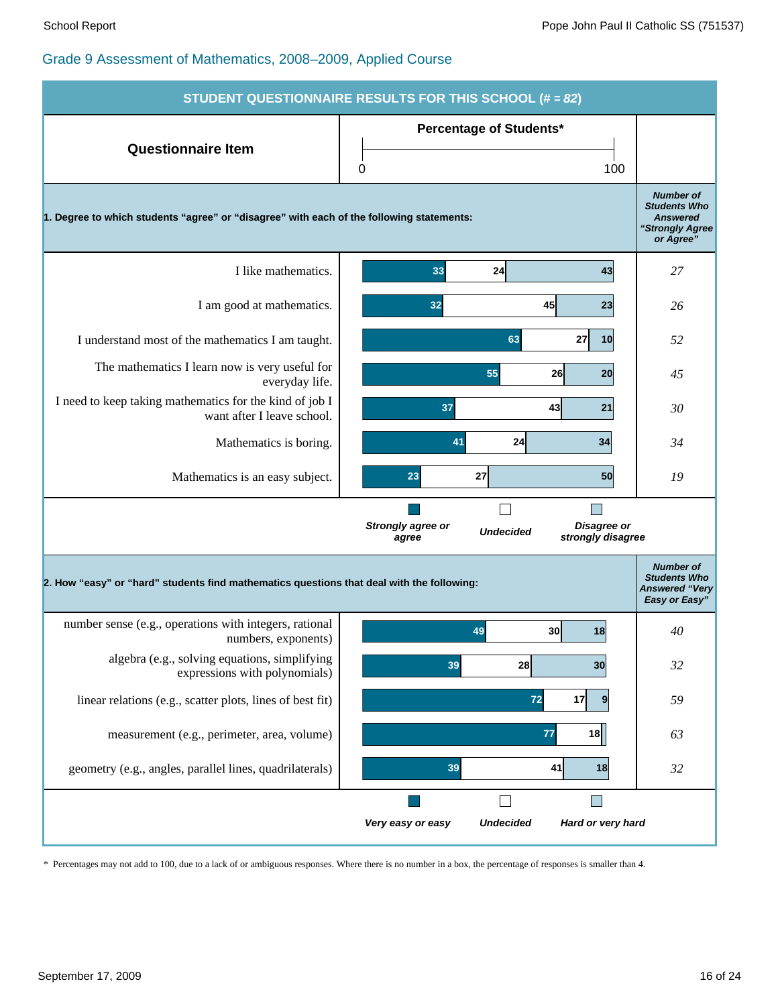|                                                                                           | STUDENT QUESTIONNAIRE RESULTS FOR THIS SCHOOL (# = 82)                             |                                                                                            |  |  |  |  |
|-------------------------------------------------------------------------------------------|------------------------------------------------------------------------------------|--------------------------------------------------------------------------------------------|--|--|--|--|
| <b>Questionnaire Item</b>                                                                 | <b>Percentage of Students*</b><br>0<br>100                                         |                                                                                            |  |  |  |  |
| 1. Degree to which students "agree" or "disagree" with each of the following statements:  |                                                                                    | <b>Number of</b><br><b>Students Who</b><br><b>Answered</b><br>"Strongly Agree<br>or Agree" |  |  |  |  |
| I like mathematics.                                                                       | 33<br>24<br>43                                                                     | 27                                                                                         |  |  |  |  |
| I am good at mathematics.                                                                 | 32<br>45<br>23                                                                     | 26                                                                                         |  |  |  |  |
| I understand most of the mathematics I am taught.                                         | 63<br>27<br>10                                                                     | 52                                                                                         |  |  |  |  |
| The mathematics I learn now is very useful for<br>everyday life.                          | 55<br>26<br>20                                                                     | 45                                                                                         |  |  |  |  |
| I need to keep taking mathematics for the kind of job I<br>want after I leave school.     | 37<br>43<br>21                                                                     | 30                                                                                         |  |  |  |  |
| Mathematics is boring.                                                                    | 41<br>24<br>34                                                                     | 34                                                                                         |  |  |  |  |
| Mathematics is an easy subject.                                                           | 23<br>27<br>50                                                                     | 19                                                                                         |  |  |  |  |
|                                                                                           | Strongly agree or<br>Disagree or<br><b>Undecided</b><br>strongly disagree<br>agree |                                                                                            |  |  |  |  |
| 2. How "easy" or "hard" students find mathematics questions that deal with the following: |                                                                                    | <b>Number of</b><br><b>Students Who</b><br><b>Answered "Very</b><br>Easy or Easy"          |  |  |  |  |
| number sense (e.g., operations with integers, rational<br>numbers, exponents)             | 49<br>30 <sub>0</sub><br>18                                                        | 40                                                                                         |  |  |  |  |
| algebra (e.g., solving equations, simplifying<br>expressions with polynomials)            | 39<br>28<br>30                                                                     | 32                                                                                         |  |  |  |  |
| linear relations (e.g., scatter plots, lines of best fit)                                 | 72<br>17<br>9                                                                      | 59                                                                                         |  |  |  |  |
| measurement (e.g., perimeter, area, volume)                                               | 77<br>18                                                                           | 63                                                                                         |  |  |  |  |
| geometry (e.g., angles, parallel lines, quadrilaterals)                                   | 39<br>41<br>18                                                                     | 32                                                                                         |  |  |  |  |
|                                                                                           | $\Box$                                                                             |                                                                                            |  |  |  |  |
|                                                                                           | Hard or very hard<br>Very easy or easy<br><b>Undecided</b>                         |                                                                                            |  |  |  |  |

\* Percentages may not add to 100, due to a lack of or ambiguous responses. Where there is no number in a box, the percentage of responses is smaller than 4.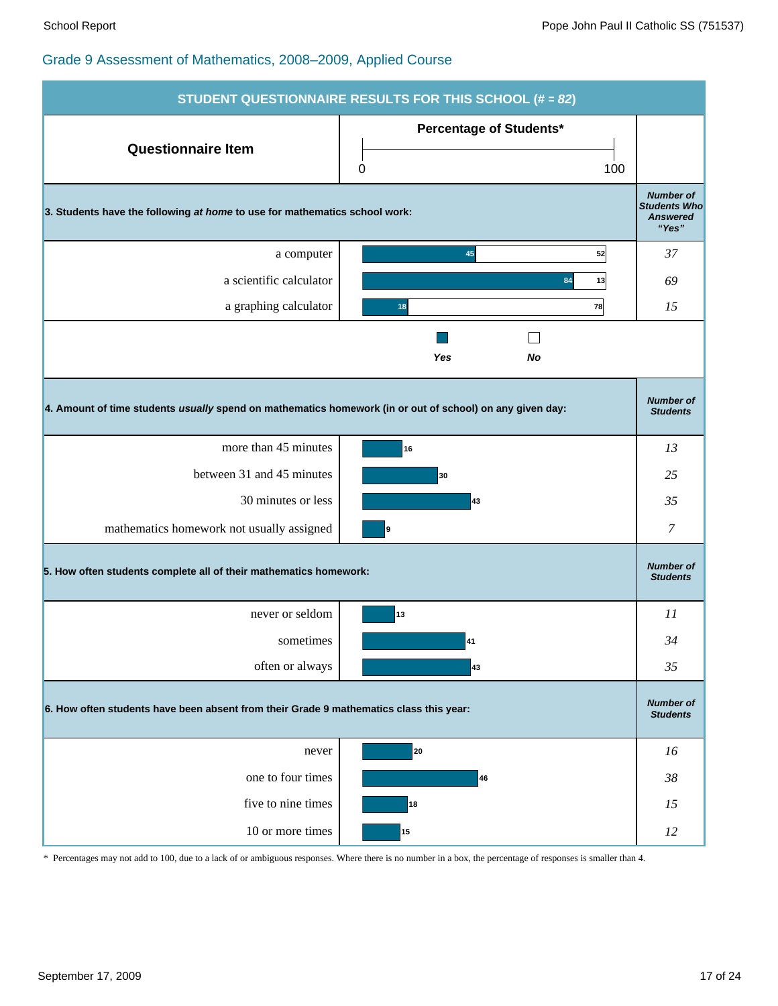|                                                                                                          | STUDENT QUESTIONNAIRE RESULTS FOR THIS SCHOOL (# = 82) |                                                                     |
|----------------------------------------------------------------------------------------------------------|--------------------------------------------------------|---------------------------------------------------------------------|
| <b>Questionnaire Item</b>                                                                                | Percentage of Students*<br>0<br>100                    |                                                                     |
| 3. Students have the following at home to use for mathematics school work:                               |                                                        | <b>Number of</b><br><b>Students Who</b><br><b>Answered</b><br>"Yes" |
| a computer                                                                                               | 52<br>45                                               | 37                                                                  |
| a scientific calculator                                                                                  | 13<br>84                                               | 69                                                                  |
| a graphing calculator                                                                                    | 78<br>18                                               | 15                                                                  |
|                                                                                                          | $\mathcal{L}$<br>Yes<br>No                             |                                                                     |
| 4. Amount of time students usually spend on mathematics homework (in or out of school) on any given day: |                                                        | <b>Number of</b><br><b>Students</b>                                 |
| more than 45 minutes                                                                                     | 16                                                     | 13                                                                  |
| between 31 and 45 minutes                                                                                | 30                                                     | 25                                                                  |
| 30 minutes or less                                                                                       | 43                                                     | 35                                                                  |
| mathematics homework not usually assigned                                                                | 9                                                      | 7                                                                   |
| 5. How often students complete all of their mathematics homework:                                        |                                                        | <b>Number of</b><br><b>Students</b>                                 |
| never or seldom                                                                                          | 13                                                     | 11                                                                  |
| sometimes                                                                                                | 41                                                     | 34                                                                  |
| often or always                                                                                          | 43                                                     | 35                                                                  |
| 6. How often students have been absent from their Grade 9 mathematics class this year:                   |                                                        | <b>Number of</b><br><b>Students</b>                                 |
| never                                                                                                    | 20                                                     | 16                                                                  |
| one to four times                                                                                        | 46                                                     | 38                                                                  |
| five to nine times                                                                                       | 18                                                     | 15                                                                  |
| 10 or more times                                                                                         | 15                                                     | 12                                                                  |

\* Percentages may not add to 100, due to a lack of or ambiguous responses. Where there is no number in a box, the percentage of responses is smaller than 4.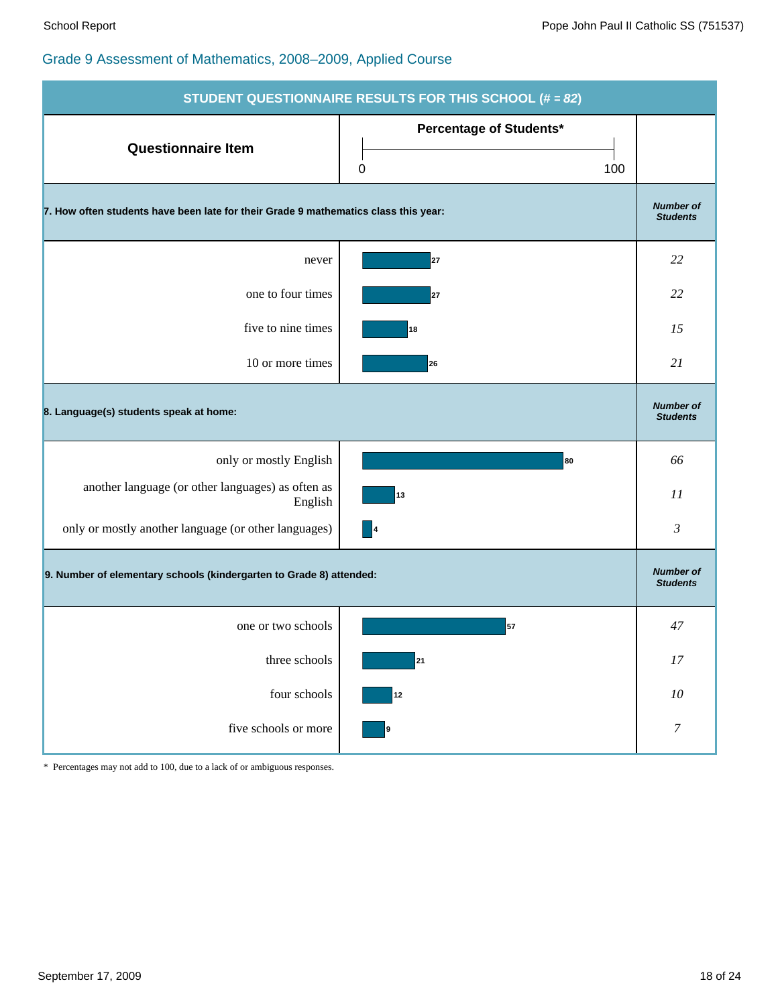|                                                                                     | STUDENT QUESTIONNAIRE RESULTS FOR THIS SCHOOL (# = 82) |                                     |
|-------------------------------------------------------------------------------------|--------------------------------------------------------|-------------------------------------|
| <b>Questionnaire Item</b>                                                           | Percentage of Students*<br>100<br>0                    |                                     |
| 7. How often students have been late for their Grade 9 mathematics class this year: |                                                        | <b>Number of</b><br><b>Students</b> |
| never                                                                               | 27                                                     | 22                                  |
| one to four times                                                                   | 27                                                     | 22                                  |
| five to nine times                                                                  | 18                                                     | 15                                  |
| 10 or more times                                                                    | 26                                                     | 21                                  |
| 8. Language(s) students speak at home:                                              |                                                        | <b>Number of</b><br><b>Students</b> |
| only or mostly English                                                              | 80                                                     | 66                                  |
| another language (or other languages) as often as<br>English                        | 13                                                     | 11                                  |
| only or mostly another language (or other languages)                                | $\blacksquare$                                         | $\mathfrak{Z}$                      |
| 9. Number of elementary schools (kindergarten to Grade 8) attended:                 |                                                        | <b>Number of</b><br><b>Students</b> |
| one or two schools                                                                  | 57                                                     | 47                                  |
| three schools                                                                       | 21                                                     | $17\,$                              |
| four schools                                                                        | $12$                                                   | $10\,$                              |
| five schools or more                                                                | 9                                                      | $\boldsymbol{7}$                    |

\* Percentages may not add to 100, due to a lack of or ambiguous responses.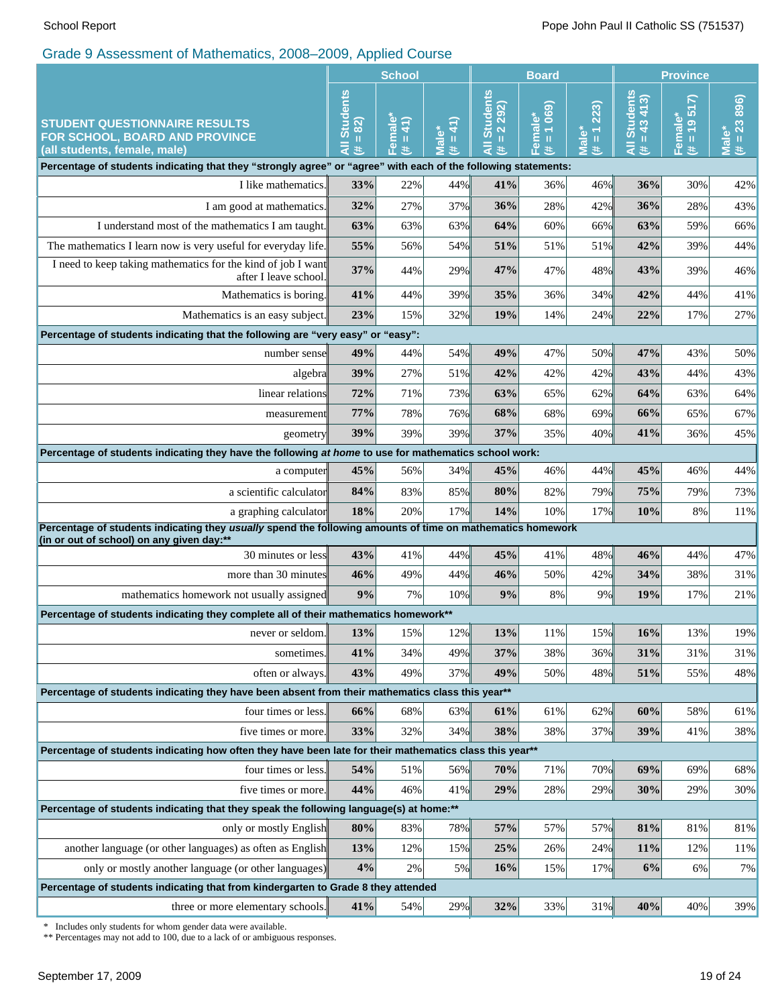|                                                                                                                                                                                              | <b>School</b>                                                                                                                                                                                                                                                                                   |                     | <b>Board</b>                                                 |                                                                   |                                      | <b>Province</b>                                |                                        |                                      |                            |
|----------------------------------------------------------------------------------------------------------------------------------------------------------------------------------------------|-------------------------------------------------------------------------------------------------------------------------------------------------------------------------------------------------------------------------------------------------------------------------------------------------|---------------------|--------------------------------------------------------------|-------------------------------------------------------------------|--------------------------------------|------------------------------------------------|----------------------------------------|--------------------------------------|----------------------------|
| <b>STUDENT QUESTIONNAIRE RESULTS</b><br>FOR SCHOOL, BOARD AND PROVINCE<br>(all students, female, male)                                                                                       | <b>Students</b><br>82)<br>$\mathbf{H}% =\mathbf{H}^{T}\mathbf{v}^{T}\mathbf{v}^{T}\mathbf{v}^{T}+\mathbf{H}^{T}\mathbf{v}^{T}\mathbf{v}^{T}+\mathbf{H}^{T}\mathbf{v}^{T}\mathbf{v}^{T}+\mathbf{H}^{T}\mathbf{v}^{T}\mathbf{v}^{T}+\mathbf{H}^{T}\mathbf{v}^{T}\mathbf{v}^{T}$<br>$\bar{a}$<br>共 | Female*<br>(# = 41) | $\mathbf{\hat{t}}$<br><b>Male*</b><br>$\mathbf{I}\mathbf{I}$ | <b>Students</b><br>292)<br>$\overline{\mathbf{N}}$<br>Ш<br>₹<br>共 | 1069<br>Female*<br>$\, \rm{II}$<br>违 | (223)<br>$\overline{\mathbf{r}}$<br>Male*<br>共 | <b>Students</b><br>$= 43413$<br>Ę<br>共 | 517<br>Female*<br>$\frac{1}{2}$<br>违 | $# = 2386$<br><b>Male*</b> |
| Percentage of students indicating that they "strongly agree" or "agree" with each of the following statements:                                                                               |                                                                                                                                                                                                                                                                                                 |                     |                                                              |                                                                   |                                      |                                                |                                        |                                      |                            |
| I like mathematics.                                                                                                                                                                          | 33%                                                                                                                                                                                                                                                                                             | 22%                 | 44%                                                          | 41%                                                               | 36%                                  | 46%                                            | 36%                                    | 30%                                  | 42%                        |
| I am good at mathematics.                                                                                                                                                                    | 32%                                                                                                                                                                                                                                                                                             | 27%                 | 37%                                                          | 36%                                                               | 28%                                  | 42%                                            | 36%                                    | 28%                                  | 43%                        |
| I understand most of the mathematics I am taught.                                                                                                                                            | 63%                                                                                                                                                                                                                                                                                             | 63%                 | 63%                                                          | 64%                                                               | 60%                                  | 66%                                            | 63%                                    | 59%                                  | 66%                        |
| The mathematics I learn now is very useful for everyday life.                                                                                                                                | 55%                                                                                                                                                                                                                                                                                             | 56%                 | 54%                                                          | 51%                                                               | 51%                                  | 51%                                            | 42%                                    | 39%                                  | 44%                        |
| I need to keep taking mathematics for the kind of job I want<br>after I leave school.                                                                                                        | 37%                                                                                                                                                                                                                                                                                             | 44%                 | 29%                                                          | 47%                                                               | 47%                                  | 48%                                            | 43%                                    | 39%                                  | 46%                        |
| Mathematics is boring.                                                                                                                                                                       | 41%                                                                                                                                                                                                                                                                                             | 44%                 | 39%                                                          | 35%                                                               | 36%                                  | 34%                                            | 42%                                    | 44%                                  | 41%                        |
| Mathematics is an easy subject.                                                                                                                                                              | 23%                                                                                                                                                                                                                                                                                             | 15%                 | 32%                                                          | 19%                                                               | 14%                                  | 24%                                            | 22%                                    | 17%                                  | 27%                        |
| Percentage of students indicating that the following are "very easy" or "easy":                                                                                                              |                                                                                                                                                                                                                                                                                                 |                     |                                                              |                                                                   |                                      |                                                |                                        |                                      |                            |
| number sense                                                                                                                                                                                 | 49%                                                                                                                                                                                                                                                                                             | 44%                 | 54%                                                          | 49%                                                               | 47%                                  | 50%                                            | 47%                                    | 43%                                  | 50%                        |
| algebra                                                                                                                                                                                      |                                                                                                                                                                                                                                                                                                 | 27%                 | 51%                                                          | 42%                                                               | 42%                                  | 42%                                            | 43%                                    | 44%                                  | 43%                        |
| linear relations                                                                                                                                                                             |                                                                                                                                                                                                                                                                                                 | 71%                 | 73%                                                          | 63%                                                               | 65%                                  | 62%                                            | 64%                                    | 63%                                  | 64%                        |
| measurement                                                                                                                                                                                  | 77%                                                                                                                                                                                                                                                                                             | 78%                 | 76%                                                          | 68%                                                               | 68%                                  | 69%                                            | 66%                                    | 65%                                  | 67%                        |
| geometry                                                                                                                                                                                     | 39%                                                                                                                                                                                                                                                                                             | 39%                 | 39%                                                          | 37%                                                               | 35%                                  | 40%                                            | 41%                                    | 36%                                  | 45%                        |
| Percentage of students indicating they have the following at home to use for mathematics school work:<br>45%                                                                                 |                                                                                                                                                                                                                                                                                                 |                     |                                                              |                                                                   |                                      |                                                |                                        |                                      |                            |
| a computer                                                                                                                                                                                   |                                                                                                                                                                                                                                                                                                 | 56%                 | 34%                                                          | 45%                                                               | 46%                                  | 44%                                            | 45%                                    | 46%                                  | 44%                        |
| a scientific calculator                                                                                                                                                                      |                                                                                                                                                                                                                                                                                                 | 83%                 | 85%                                                          | 80%                                                               | 82%                                  | 79%                                            | 75%                                    | 79%                                  | 73%                        |
| a graphing calculator                                                                                                                                                                        |                                                                                                                                                                                                                                                                                                 | 20%                 | 17%                                                          | 14%                                                               | 10%                                  | 17%                                            | 10%                                    | 8%                                   | 11%                        |
| Percentage of students indicating they usually spend the following amounts of time on mathematics homework<br>(in or out of school) on any given day:**                                      |                                                                                                                                                                                                                                                                                                 |                     |                                                              |                                                                   |                                      |                                                |                                        |                                      |                            |
| 30 minutes or less                                                                                                                                                                           |                                                                                                                                                                                                                                                                                                 | 41%                 | 44%                                                          | 45%                                                               | 41%                                  | 48%                                            | 46%                                    | 44%                                  | 47%                        |
| more than 30 minutes                                                                                                                                                                         |                                                                                                                                                                                                                                                                                                 | 49%                 | 44%                                                          | 46%                                                               | 50%                                  | 42%                                            | 34%                                    | 38%                                  | 31%                        |
| mathematics homework not usually assigned                                                                                                                                                    | 9%                                                                                                                                                                                                                                                                                              | 7%                  | 10%                                                          | 9%                                                                | 8%                                   | 9%                                             | 19%                                    | 17%                                  | 21%                        |
| Percentage of students indicating they complete all of their mathematics homework**                                                                                                          |                                                                                                                                                                                                                                                                                                 |                     |                                                              |                                                                   |                                      |                                                |                                        |                                      |                            |
| never or seldom.                                                                                                                                                                             | 13%                                                                                                                                                                                                                                                                                             | 15%                 | 12%                                                          | 13%                                                               | 11%                                  | 15%                                            | 16%                                    | 13%                                  | 19%                        |
| sometimes.                                                                                                                                                                                   | 41%                                                                                                                                                                                                                                                                                             | 34%                 | 49%                                                          | 37%                                                               | 38%                                  | 36%                                            | 31%                                    | 31%                                  | 31%                        |
| often or always.                                                                                                                                                                             |                                                                                                                                                                                                                                                                                                 | 49%                 | 37%                                                          | 49%                                                               | 50%                                  | 48%                                            | 51%                                    | 55%                                  | 48%                        |
| Percentage of students indicating they have been absent from their mathematics class this year**<br>66%                                                                                      |                                                                                                                                                                                                                                                                                                 |                     |                                                              |                                                                   |                                      |                                                |                                        |                                      |                            |
| four times or less.                                                                                                                                                                          |                                                                                                                                                                                                                                                                                                 | 68%                 | 63%                                                          | 61%                                                               | 61%                                  | 62%                                            | 60%                                    | 58%                                  | 61%                        |
| five times or more.                                                                                                                                                                          |                                                                                                                                                                                                                                                                                                 | 32%                 | 34%                                                          | 38%                                                               | 38%                                  | 37%                                            | 39%                                    | 41%                                  | 38%                        |
| Percentage of students indicating how often they have been late for their mathematics class this year**<br>54%                                                                               |                                                                                                                                                                                                                                                                                                 |                     |                                                              |                                                                   |                                      |                                                |                                        |                                      |                            |
| four times or less.                                                                                                                                                                          |                                                                                                                                                                                                                                                                                                 | 51%                 | 56%                                                          | 70%                                                               | 71%                                  | 70%                                            | 69%                                    | 69%                                  | 68%                        |
| five times or more.                                                                                                                                                                          | 44%                                                                                                                                                                                                                                                                                             | 46%                 | 41%                                                          | 29%                                                               | 28%                                  | 29%                                            | 30%                                    | 29%                                  | 30%                        |
| Percentage of students indicating that they speak the following language(s) at home:**                                                                                                       |                                                                                                                                                                                                                                                                                                 |                     |                                                              |                                                                   |                                      |                                                |                                        |                                      |                            |
| only or mostly English                                                                                                                                                                       | 80%                                                                                                                                                                                                                                                                                             | 83%                 | 78%                                                          | 57%                                                               | 57%                                  | 57%                                            | 81%                                    | 81%                                  | 81%                        |
| another language (or other languages) as often as English                                                                                                                                    | 13%                                                                                                                                                                                                                                                                                             | 12%                 | 15%                                                          | 25%                                                               | 26%                                  | 24%                                            | 11%                                    | 12%                                  | 11%                        |
| 4%<br>6%<br>only or mostly another language (or other languages)<br>16%<br>2%<br>5%<br>17%<br>6%<br>15%<br>Percentage of students indicating that from kindergarten to Grade 8 they attended |                                                                                                                                                                                                                                                                                                 |                     |                                                              |                                                                   | 7%                                   |                                                |                                        |                                      |                            |
| three or more elementary schools.                                                                                                                                                            | 41%                                                                                                                                                                                                                                                                                             | 54%                 | 29%                                                          | 32%                                                               | 33%                                  | 31%                                            | 40%                                    | 40%                                  | 39%                        |
|                                                                                                                                                                                              |                                                                                                                                                                                                                                                                                                 |                     |                                                              |                                                                   |                                      |                                                |                                        |                                      |                            |

\* Includes only students for whom gender data were available.

\*\* Percentages may not add to 100, due to a lack of or ambiguous responses.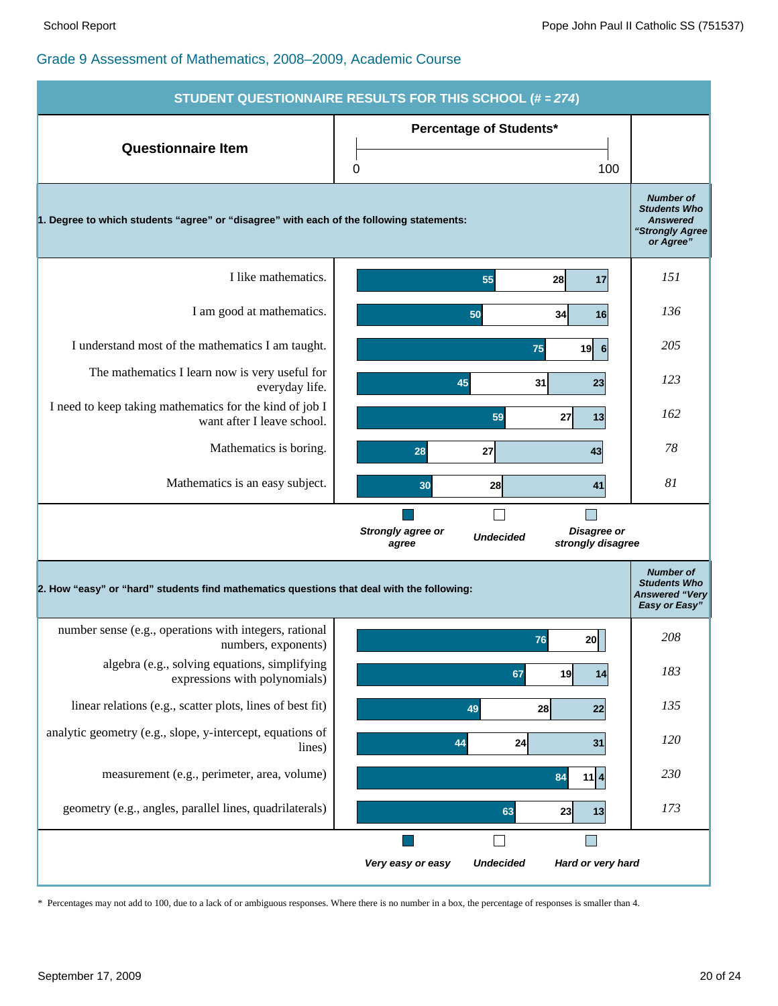| <b>STUDENT QUESTIONNAIRE RESULTS FOR THIS SCHOOL (# = 274)</b>                            |                                                                                           |                                                                                            |  |  |  |
|-------------------------------------------------------------------------------------------|-------------------------------------------------------------------------------------------|--------------------------------------------------------------------------------------------|--|--|--|
|                                                                                           | <b>Percentage of Students*</b>                                                            |                                                                                            |  |  |  |
| <b>Questionnaire Item</b>                                                                 | 100<br>0                                                                                  |                                                                                            |  |  |  |
| 1. Degree to which students "agree" or "disagree" with each of the following statements:  |                                                                                           | <b>Number of</b><br><b>Students Who</b><br><b>Answered</b><br>"Strongly Agree<br>or Agree" |  |  |  |
| I like mathematics.                                                                       | 55<br>28<br>17                                                                            | 151                                                                                        |  |  |  |
| I am good at mathematics.                                                                 | 50<br>34<br>16                                                                            | 136                                                                                        |  |  |  |
| I understand most of the mathematics I am taught.                                         | 75<br>19<br>6                                                                             | 205                                                                                        |  |  |  |
| The mathematics I learn now is very useful for<br>everyday life.                          | 45<br>31<br>23                                                                            | 123                                                                                        |  |  |  |
| I need to keep taking mathematics for the kind of job I<br>want after I leave school.     | 59<br>27<br>13                                                                            | 162                                                                                        |  |  |  |
| Mathematics is boring.                                                                    | 28<br>27<br>43                                                                            | 78                                                                                         |  |  |  |
| Mathematics is an easy subject.                                                           | 30<br>41<br>28                                                                            | 81                                                                                         |  |  |  |
|                                                                                           | Disagree or<br><b>Strongly agree or</b><br><b>Undecided</b><br>strongly disagree<br>agree |                                                                                            |  |  |  |
| 2. How "easy" or "hard" students find mathematics questions that deal with the following: |                                                                                           | <b>Number of</b><br><b>Students Who</b><br><b>Answered "Very</b><br>Easy or Easy"          |  |  |  |
| number sense (e.g., operations with integers, rational<br>numbers, exponents)             | 20<br>76                                                                                  | 208                                                                                        |  |  |  |
| algebra (e.g., solving equations, simplifying<br>expressions with polynomials)            | 67<br>19<br>14                                                                            | 183                                                                                        |  |  |  |
| linear relations (e.g., scatter plots, lines of best fit)                                 | 49<br>22<br>28                                                                            | 135                                                                                        |  |  |  |
| analytic geometry (e.g., slope, y-intercept, equations of<br>lines)                       | 24<br>31<br>44                                                                            | 120                                                                                        |  |  |  |
| measurement (e.g., perimeter, area, volume)                                               | $11$ $4$<br>84                                                                            | 230                                                                                        |  |  |  |
| geometry (e.g., angles, parallel lines, quadrilaterals)                                   | 63<br>23<br>13                                                                            | 173                                                                                        |  |  |  |
|                                                                                           | Ξ                                                                                         |                                                                                            |  |  |  |
|                                                                                           | Very easy or easy<br><b>Undecided</b><br>Hard or very hard                                |                                                                                            |  |  |  |

\* Percentages may not add to 100, due to a lack of or ambiguous responses. Where there is no number in a box, the percentage of responses is smaller than 4.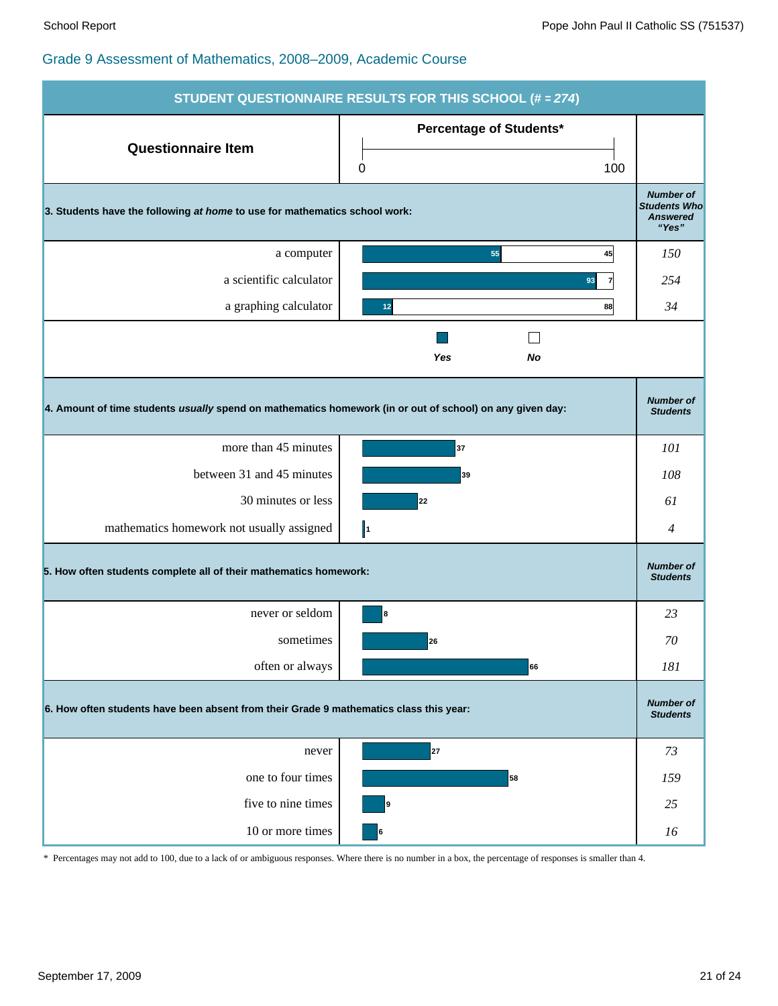|                                                                                                          | STUDENT QUESTIONNAIRE RESULTS FOR THIS SCHOOL (# = 274) |                                                                     |  |  |  |
|----------------------------------------------------------------------------------------------------------|---------------------------------------------------------|---------------------------------------------------------------------|--|--|--|
| <b>Questionnaire Item</b>                                                                                | <b>Percentage of Students*</b><br>100<br>0              |                                                                     |  |  |  |
| 3. Students have the following at home to use for mathematics school work:                               |                                                         | <b>Number of</b><br><b>Students Who</b><br><b>Answered</b><br>"Yes" |  |  |  |
| a computer                                                                                               | 55<br>45                                                | 150                                                                 |  |  |  |
| a scientific calculator                                                                                  | 93<br>$\overline{7}$                                    | 254                                                                 |  |  |  |
| a graphing calculator                                                                                    | 88<br>12                                                | 34                                                                  |  |  |  |
| Yes<br>No                                                                                                |                                                         |                                                                     |  |  |  |
| 4. Amount of time students usually spend on mathematics homework (in or out of school) on any given day: |                                                         | <b>Number of</b><br><b>Students</b>                                 |  |  |  |
| more than 45 minutes                                                                                     | 37                                                      | 101                                                                 |  |  |  |
| between 31 and 45 minutes                                                                                | 39                                                      | 108                                                                 |  |  |  |
| 30 minutes or less                                                                                       | 22                                                      | 61                                                                  |  |  |  |
| mathematics homework not usually assigned                                                                | $\ _1$                                                  | $\overline{4}$                                                      |  |  |  |
| 5. How often students complete all of their mathematics homework:                                        |                                                         | <b>Number of</b><br><b>Students</b>                                 |  |  |  |
| never or seldom                                                                                          | 8                                                       | 23                                                                  |  |  |  |
| sometimes                                                                                                | 26                                                      | 70                                                                  |  |  |  |
| often or always                                                                                          | 66                                                      | 181                                                                 |  |  |  |
| 6. How often students have been absent from their Grade 9 mathematics class this year:                   |                                                         |                                                                     |  |  |  |
| never                                                                                                    | 27                                                      | 73                                                                  |  |  |  |
| one to four times                                                                                        | 58                                                      | 159                                                                 |  |  |  |
| five to nine times                                                                                       | 9                                                       | 25                                                                  |  |  |  |
| 10 or more times                                                                                         | 6                                                       | 16                                                                  |  |  |  |

\* Percentages may not add to 100, due to a lack of or ambiguous responses. Where there is no number in a box, the percentage of responses is smaller than 4.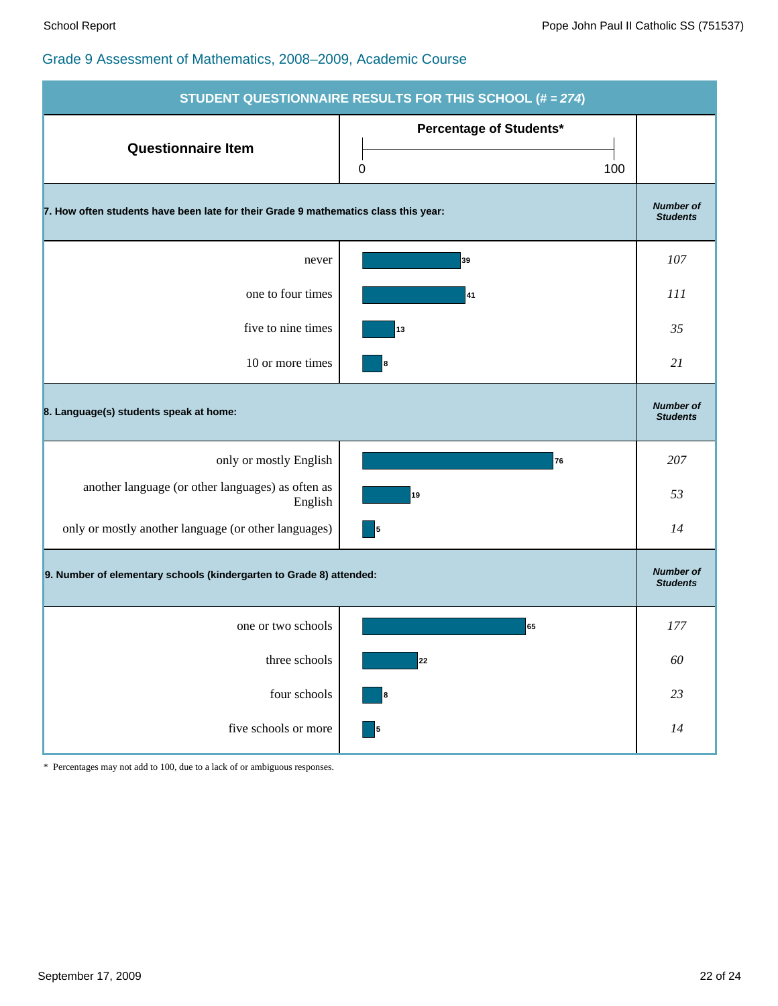| STUDENT QUESTIONNAIRE RESULTS FOR THIS SCHOOL (# = 274)                             |                                     |     |  |  |  |
|-------------------------------------------------------------------------------------|-------------------------------------|-----|--|--|--|
| <b>Questionnaire Item</b>                                                           | Percentage of Students*<br>100<br>0 |     |  |  |  |
| 7. How often students have been late for their Grade 9 mathematics class this year: |                                     |     |  |  |  |
| never                                                                               | 39                                  | 107 |  |  |  |
| one to four times                                                                   | 41                                  | 111 |  |  |  |
| five to nine times                                                                  | 13                                  | 35  |  |  |  |
| 10 or more times                                                                    | 8                                   | 21  |  |  |  |
| 8. Language(s) students speak at home:                                              |                                     |     |  |  |  |
| only or mostly English                                                              | 76                                  | 207 |  |  |  |
| another language (or other languages) as often as<br>English                        | 19                                  | 53  |  |  |  |
| only or mostly another language (or other languages)                                | 5                                   | 14  |  |  |  |
| 9. Number of elementary schools (kindergarten to Grade 8) attended:                 |                                     |     |  |  |  |
| one or two schools                                                                  | 65                                  | 177 |  |  |  |
| three schools                                                                       | 22                                  | 60  |  |  |  |
| four schools                                                                        | 8                                   | 23  |  |  |  |
| five schools or more                                                                | - 5                                 | 14  |  |  |  |

\* Percentages may not add to 100, due to a lack of or ambiguous responses.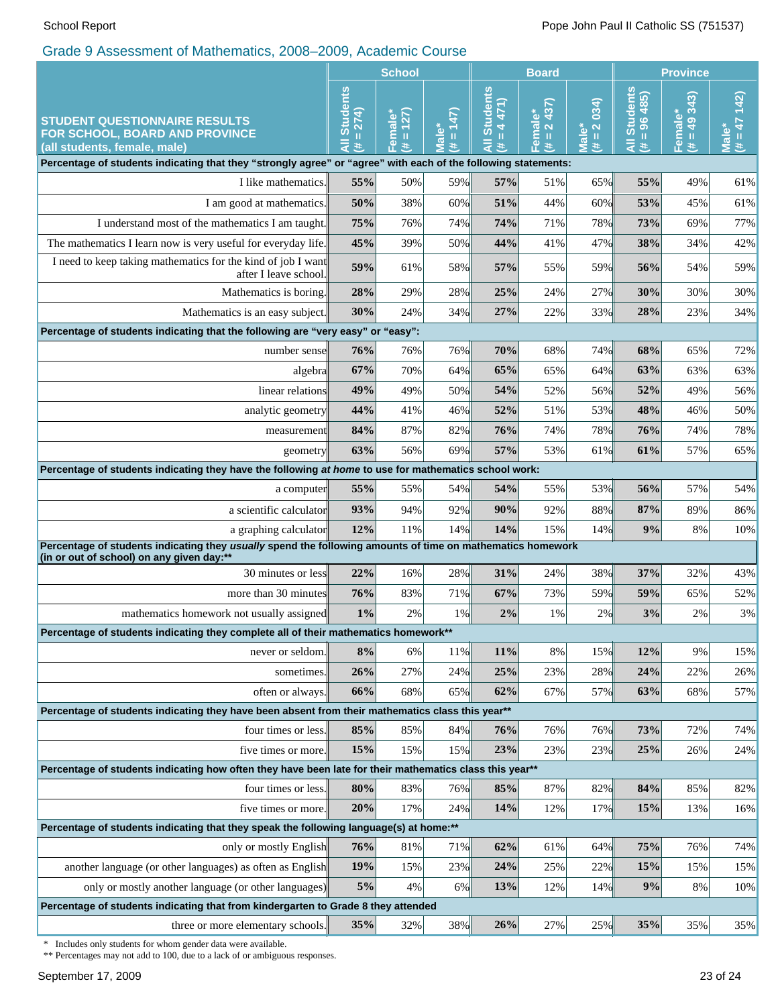|                                                                                                                                                         | <b>School</b>                                                                                                                                                                                                                                                                                                                                                                                                                                                |                                    | <b>Board</b>                                            |                                                                |                                                                      | <b>Province</b>                                                      |                                        |                           |                              |
|---------------------------------------------------------------------------------------------------------------------------------------------------------|--------------------------------------------------------------------------------------------------------------------------------------------------------------------------------------------------------------------------------------------------------------------------------------------------------------------------------------------------------------------------------------------------------------------------------------------------------------|------------------------------------|---------------------------------------------------------|----------------------------------------------------------------|----------------------------------------------------------------------|----------------------------------------------------------------------|----------------------------------------|---------------------------|------------------------------|
| <b>STUDENT QUESTIONNAIRE RESULTS</b><br>FOR SCHOOL, BOARD AND PROVINCE<br>(all students, female, male)                                                  | <b>Students</b><br>274)<br>$\mathbf{H}% =\mathbf{H}+\mathbf{H}+\mathbf{H}+\mathbf{H}+\mathbf{H}+\mathbf{H}+\mathbf{H}+\mathbf{H}+\mathbf{H}+\mathbf{H}+\mathbf{H}+\mathbf{H}+\mathbf{H}+\mathbf{H}+\mathbf{H}+\mathbf{H}+\mathbf{H}+\mathbf{H}+\mathbf{H}+\mathbf{H}+\mathbf{H}+\mathbf{H}+\mathbf{H}+\mathbf{H}+\mathbf{H}+\mathbf{H}+\mathbf{H}+\mathbf{H}+\mathbf{H}+\mathbf{H}+\mathbf{H}+\mathbf{H}+\mathbf{H}+\mathbf{H}+\mathbf{H}+\mathbf$<br>₹<br>共 | 127<br>Female<br>$\mathbf{H}$<br>共 | (147)<br>$\bullet$<br>Ш<br>$\overline{\mathbf{S}}$<br>共 | <b>Students</b><br>471)<br>$\blacktriangleleft$<br>Ш<br>₹<br>共 | 437)<br>$\bullet$<br>$\overline{\mathbf{N}}$<br>Femal<br>$\,$ H<br>违 | $= 2034$<br>$\overset{*}{\bullet}$<br>$\overline{\overline{B}}$<br>共 | <b>Students</b><br>$= 96485$<br>Ę<br>违 | $= 49343$<br>Female*<br>违 | $142)$<br>$47 = 47$<br>Male* |
| Percentage of students indicating that they "strongly agree" or "agree" with each of the following statements:                                          |                                                                                                                                                                                                                                                                                                                                                                                                                                                              |                                    |                                                         |                                                                |                                                                      |                                                                      |                                        |                           |                              |
| I like mathematics.                                                                                                                                     | 55%                                                                                                                                                                                                                                                                                                                                                                                                                                                          | 50%                                | 59%                                                     | 57%                                                            | 51%                                                                  | 65%                                                                  | 55%                                    | 49%                       | 61%                          |
| I am good at mathematics.                                                                                                                               | 50%                                                                                                                                                                                                                                                                                                                                                                                                                                                          | 38%                                | 60%                                                     | 51%                                                            | 44%                                                                  | 60%                                                                  | 53%                                    | 45%                       | 61%                          |
| I understand most of the mathematics I am taught.                                                                                                       | 75%                                                                                                                                                                                                                                                                                                                                                                                                                                                          | 76%                                | 74%                                                     | 74%                                                            | 71%                                                                  | 78%                                                                  | 73%                                    | 69%                       | 77%                          |
| The mathematics I learn now is very useful for everyday life.                                                                                           | 45%                                                                                                                                                                                                                                                                                                                                                                                                                                                          | 39%                                | 50%                                                     | 44%                                                            | 41%                                                                  | 47%                                                                  | 38%                                    | 34%                       | 42%                          |
| I need to keep taking mathematics for the kind of job I want<br>after I leave school.                                                                   | 59%                                                                                                                                                                                                                                                                                                                                                                                                                                                          | 61%                                | 58%                                                     | 57%                                                            | 55%                                                                  | 59%                                                                  | 56%                                    | 54%                       | 59%                          |
| Mathematics is boring.                                                                                                                                  | 28%                                                                                                                                                                                                                                                                                                                                                                                                                                                          | 29%                                | 28%                                                     | 25%                                                            | 24%                                                                  | 27%                                                                  | 30%                                    | 30%                       | 30%                          |
| Mathematics is an easy subject.                                                                                                                         | 30%                                                                                                                                                                                                                                                                                                                                                                                                                                                          | 24%                                | 34%                                                     | 27%                                                            | 22%                                                                  | 33%                                                                  | 28%                                    | 23%                       | 34%                          |
| Percentage of students indicating that the following are "very easy" or "easy":                                                                         |                                                                                                                                                                                                                                                                                                                                                                                                                                                              |                                    |                                                         |                                                                |                                                                      |                                                                      |                                        |                           |                              |
| number sense                                                                                                                                            | 76%                                                                                                                                                                                                                                                                                                                                                                                                                                                          | 76%                                | 76%                                                     | 70%                                                            | 68%                                                                  | 74%                                                                  | 68%                                    | 65%                       | 72%                          |
| algebra                                                                                                                                                 | 67%                                                                                                                                                                                                                                                                                                                                                                                                                                                          | 70%                                | 64%                                                     | 65%                                                            | 65%                                                                  | 64%                                                                  | 63%                                    | 63%                       | 63%                          |
| linear relations                                                                                                                                        | 49%                                                                                                                                                                                                                                                                                                                                                                                                                                                          | 49%                                | 50%                                                     | 54%                                                            | 52%                                                                  | 56%                                                                  | 52%                                    | 49%                       | 56%                          |
| analytic geometry                                                                                                                                       |                                                                                                                                                                                                                                                                                                                                                                                                                                                              | 41%                                | 46%                                                     | 52%                                                            | 51%                                                                  | 53%                                                                  | 48%                                    | 46%                       | 50%                          |
| measurement                                                                                                                                             |                                                                                                                                                                                                                                                                                                                                                                                                                                                              | 87%                                | 82%                                                     | 76%                                                            | 74%                                                                  | 78%                                                                  | 76%                                    | 74%                       | 78%                          |
| geometry                                                                                                                                                |                                                                                                                                                                                                                                                                                                                                                                                                                                                              | 56%                                | 69%                                                     | 57%                                                            | 53%                                                                  | 61%                                                                  | 61%                                    | 57%                       | 65%                          |
|                                                                                                                                                         | Percentage of students indicating they have the following at home to use for mathematics school work:                                                                                                                                                                                                                                                                                                                                                        |                                    |                                                         |                                                                |                                                                      |                                                                      |                                        |                           |                              |
| a computer                                                                                                                                              | 55%                                                                                                                                                                                                                                                                                                                                                                                                                                                          | 55%                                | 54%                                                     | 54%                                                            | 55%                                                                  | 53%                                                                  | 56%                                    | 57%                       | 54%                          |
| a scientific calculator                                                                                                                                 | 93%                                                                                                                                                                                                                                                                                                                                                                                                                                                          | 94%                                | 92%                                                     | 90%                                                            | 92%                                                                  | 88%                                                                  | 87%                                    | 89%                       | 86%                          |
| a graphing calculator                                                                                                                                   |                                                                                                                                                                                                                                                                                                                                                                                                                                                              | 11%                                | 14%                                                     | 14%                                                            | 15%                                                                  | 14%                                                                  | 9%                                     | 8%                        | 10%                          |
| Percentage of students indicating they usually spend the following amounts of time on mathematics homework<br>(in or out of school) on any given day:** |                                                                                                                                                                                                                                                                                                                                                                                                                                                              |                                    |                                                         |                                                                |                                                                      |                                                                      |                                        |                           |                              |
| 30 minutes or less                                                                                                                                      | 22%                                                                                                                                                                                                                                                                                                                                                                                                                                                          | 16%                                | 28%                                                     | 31%                                                            | 24%                                                                  | 38%                                                                  | 37%                                    | 32%                       | 43%                          |
| more than 30 minutes                                                                                                                                    |                                                                                                                                                                                                                                                                                                                                                                                                                                                              | 83%                                | 71%                                                     | 67%                                                            | 73%                                                                  | 59%                                                                  | 59%                                    | 65%                       | 52%                          |
| mathematics homework not usually assigned                                                                                                               | $1\%$                                                                                                                                                                                                                                                                                                                                                                                                                                                        | 2%                                 | 1%                                                      | 2%                                                             | 1%                                                                   | 2%                                                                   | 3%                                     | 2%                        | $3\%$                        |
| Percentage of students indicating they complete all of their mathematics homework**                                                                     |                                                                                                                                                                                                                                                                                                                                                                                                                                                              |                                    |                                                         |                                                                |                                                                      |                                                                      |                                        |                           |                              |
| never or seldom.                                                                                                                                        | 8%                                                                                                                                                                                                                                                                                                                                                                                                                                                           | 6%                                 | 11%                                                     | 11%                                                            | 8%                                                                   | 15%                                                                  | 12%                                    | 9%                        | 15%                          |
| sometimes.                                                                                                                                              |                                                                                                                                                                                                                                                                                                                                                                                                                                                              | 27%                                | 24%                                                     | 25%                                                            | 23%                                                                  | 28%                                                                  | 24%                                    | 22%                       | 26%                          |
| often or always.                                                                                                                                        | 66%                                                                                                                                                                                                                                                                                                                                                                                                                                                          | 68%                                | 65%                                                     | 62%                                                            | 67%                                                                  | 57%                                                                  | 63%                                    | 68%                       | 57%                          |
| Percentage of students indicating they have been absent from their mathematics class this year**                                                        |                                                                                                                                                                                                                                                                                                                                                                                                                                                              |                                    |                                                         |                                                                |                                                                      |                                                                      |                                        |                           |                              |
| four times or less.                                                                                                                                     | 85%                                                                                                                                                                                                                                                                                                                                                                                                                                                          | 85%                                | 84%                                                     | 76%                                                            | 76%                                                                  | 76%                                                                  | 73%                                    | 72%                       | 74%                          |
| five times or more.                                                                                                                                     | 15%                                                                                                                                                                                                                                                                                                                                                                                                                                                          | 15%                                | 15%                                                     | 23%                                                            | 23%                                                                  | 23%                                                                  | 25%                                    | 26%                       | 24%                          |
| Percentage of students indicating how often they have been late for their mathematics class this year**                                                 |                                                                                                                                                                                                                                                                                                                                                                                                                                                              |                                    |                                                         |                                                                |                                                                      |                                                                      |                                        |                           |                              |
| four times or less.                                                                                                                                     | 80%                                                                                                                                                                                                                                                                                                                                                                                                                                                          | 83%                                | 76%                                                     | 85%                                                            | 87%                                                                  | 82%                                                                  | 84%                                    | 85%                       | 82%                          |
| five times or more.                                                                                                                                     | 20%                                                                                                                                                                                                                                                                                                                                                                                                                                                          | 17%                                | 24%                                                     | 14%                                                            | 12%                                                                  | 17%                                                                  | 15%                                    | 13%                       | 16%                          |
| Percentage of students indicating that they speak the following language(s) at home:**                                                                  |                                                                                                                                                                                                                                                                                                                                                                                                                                                              |                                    |                                                         |                                                                |                                                                      |                                                                      |                                        |                           |                              |
| only or mostly English                                                                                                                                  | 76%                                                                                                                                                                                                                                                                                                                                                                                                                                                          | 81%                                | 71%                                                     | 62%                                                            | 61%                                                                  | 64%                                                                  | 75%                                    | 76%                       | 74%                          |
| another language (or other languages) as often as English                                                                                               | 19%<br>5%                                                                                                                                                                                                                                                                                                                                                                                                                                                    | 15%                                | 23%                                                     | 24%                                                            | 25%                                                                  | 22%                                                                  | 15%                                    | 15%                       | 15%                          |
| only or mostly another language (or other languages)                                                                                                    |                                                                                                                                                                                                                                                                                                                                                                                                                                                              | 4%                                 | 6%                                                      | 13%                                                            | 12%                                                                  | 14%                                                                  | 9%                                     | 8%                        | $10\%$                       |
| Percentage of students indicating that from kindergarten to Grade 8 they attended<br>three or more elementary schools.                                  | 35%                                                                                                                                                                                                                                                                                                                                                                                                                                                          |                                    | 38%                                                     | 26%                                                            | 27%                                                                  | 25%                                                                  | 35%                                    | 35%                       | 35%                          |
|                                                                                                                                                         |                                                                                                                                                                                                                                                                                                                                                                                                                                                              | 32%                                |                                                         |                                                                |                                                                      |                                                                      |                                        |                           |                              |

\* Includes only students for whom gender data were available.

\*\* Percentages may not add to 100, due to a lack of or ambiguous responses.